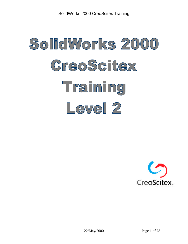

22/May/2000 Page 1 of 78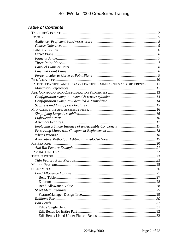## **Table of Contents**

| PALETTE FEATURES AND LIBRARY FEATURES - SIMILARITIES AND DIFFERENCES 11 |  |
|-------------------------------------------------------------------------|--|
|                                                                         |  |
|                                                                         |  |
|                                                                         |  |
|                                                                         |  |
|                                                                         |  |
|                                                                         |  |
|                                                                         |  |
|                                                                         |  |
|                                                                         |  |
|                                                                         |  |
|                                                                         |  |
|                                                                         |  |
|                                                                         |  |
|                                                                         |  |
|                                                                         |  |
|                                                                         |  |
|                                                                         |  |
|                                                                         |  |
|                                                                         |  |
|                                                                         |  |
|                                                                         |  |
|                                                                         |  |
|                                                                         |  |
|                                                                         |  |
|                                                                         |  |
|                                                                         |  |
|                                                                         |  |
|                                                                         |  |
|                                                                         |  |
|                                                                         |  |
|                                                                         |  |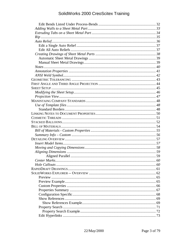| Center Marks<br>60 |  |
|--------------------|--|
|                    |  |
|                    |  |
|                    |  |
|                    |  |
|                    |  |
|                    |  |
|                    |  |
|                    |  |
|                    |  |
|                    |  |
|                    |  |
|                    |  |
|                    |  |
|                    |  |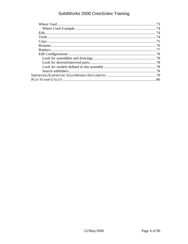| 73 |
|----|
|    |
|    |
|    |
|    |
|    |
|    |
|    |
|    |
|    |
|    |
|    |
|    |
|    |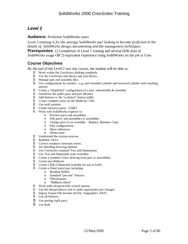## *Level 2*

#### **Audience:** Proficient SolidWorks users

*Level 2 training is for the average SolidWorks user looking to become proficient in the details of SolidWorks design, documenting and file management techniques.*

**Prerequisites**: 1) Completion of Level 1 training and several (full) days of SolidWorks usage OR 2) equivalent experience using SolidWorks on the job at Creo

## **Course Objectives**

By the end of the Level 2 two day course, the student will be able to:

- § Work within the CreoScitex drafting standards.
- § Use the CreoScitex title blocks and note blocks.
- § Manage part and assembly files.
- § Use configurations for motion e.g. and extended cylinder and retracted cylinder with resulting motion.
- § Create a "simplified" configuration of a part, subassembly & assembly
- § Install/use the pallet parts and part libraries
- § Add features to the "common" feature pallet.
- § Create complete notes on the Model for CNC.
- § Use weld symbols
- § Create tolerance parts GD&T
- § Work with SolidWorks explorer to:
	- o Preview parts and assemblies
		- o Edit parts, sub assemblies or assemblies
	- o Change parts in an assembly Replace, Rename, Copy
	- o Edit configurations
	- o Show references
	- o Where used.
- § Understand the revision process.
- § Redefine Views
- § Correct common constraint errors.
- § Set Detailing Drawing Options
- § Use CreoScitex standard Text and Dimensions.
- § Use Text and Dimension style overrides.
- § Create a standard 3view drawing from part or Assemblies.
- § Create part Balloons
- § Create a Bill of Materials (suitable for use in SAP)
- § Create a Sheet metal part including:
	- o Bending Reliefs
	- o Standard "pen nut" features.
	- o Thin features.
	- o "Rollback-check"
- § Work with advanced hole wizard options.
- § Use the feature history tree to make appropriate part changes.
- § Import Export File formats (IGES, Unigraphics, DXF)
- § Use rib features.
- § Use parting (split part).
- § Use draft.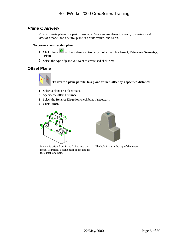## *Plane Overview*

You can create planes in a part or assembly. You can use planes to sketch, to create a section view of a model, for a neutral plane in a draft feature, and so on.

#### **To create a construction plane:**

- **1** Click **Plane**  $\infty$  on the Reference Geometry toolbar, or click **Insert**, **Reference Geometry**, **Plane**.
- **2** Select the type of plane you want to create and click **Next**.

#### **Offset Plane**

**To create a plane parallel to a plane or face, offset by a specified distance:**

- **1** Select a plane or a planar face.
- **2** Specify the offset **Distance**.
- **3** Select the **Reverse Direction** check box, if necessary.
- **4** Click **Finish**.



Plane 4 is offset from Plane 2. Because the model is drafted, a plane must be created for the sketch of a hole.



The hole is cut in the top of the model.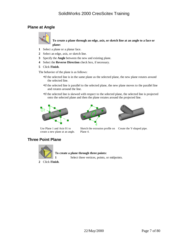## **Plane at Angle**



**To create a plane through an edge, axis, or sketch line at an angle to a face or plane:**

- **1** Select a plane or a planar face.
- **2** Select an edge, axis, or sketch line.
- **3** Specify the **Angle** between the new and existing plane.
- **4** Select the **Reverse Direction** check box, if necessary.
- **5** Click **Finish**.

The behavior of the plane is as follows:

- •If the selected line is in the same plane as the selected plane, the new plane rotates around the selected line.
- •If the selected line is parallel to the selected plane, the new plane moves to the parallel line and rotates around the line.
- •If the selected line is skewed with respect to the selected plane, the selected line is projected onto the selected plane and then the plane rotates around the projected line.







Use Plane 1 and Axis 01 to create a new plane at an angle.

Sketch the extrusion profile on Create the Y-shaped pipe. Plane 4.

## **Three Point Plane**



#### **To create a plane through three points:**

**1** Select three vertices, points, or midpoints.

**2** Click **Finish**.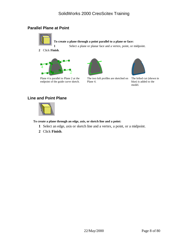## **Parallel Plane at Point**



**To create a plane through a point parallel to a plane or face:**

**1** Select a plane or planar face and a vertex, point, or midpoint.

**2** Click **Finish**.





Plane 4.

Plane 4 is parallel to Plane 2 at the endpoint of the guide curve sketch.

The two loft profiles are sketched on



The lofted cut (shown in blue) is added to the model.

## **Line and Point Plane**



**To create a plane through an edge, axis, or sketch line and a point:**

- **1** Select an edge, axis or sketch line and a vertex, a point, or a midpoint.
- **2** Click **Finish**.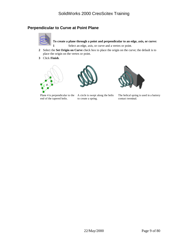## **Perpendicular to Curve at Point Plane**



**To create a plane through a point and perpendicular to an edge, axis, or curve: 1** Select an edge, axis, or curve and a vertex or point.

- **2** Select the **Set Origin on Curve** check box to place the origin on the curve; the default is to place the origin on the vertex or point.
- **3** Click **Finish**.





end of the tapered helix.

Plane 4 is perpendicular to the A circle is swept along the helix to create a spring.



The helical spring is used in a battery contact terminal.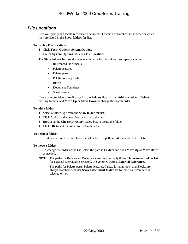## *File Locations*

Lets you specify and locate referenced documents. Folders are searched in the order in which they are listed in the **Show folders for** list.

#### **To display File Locations:**

- **1** Click **Tools, Options, System Options.**
- **2** On the **System Options** tab, click **File Locations**.

The **Show folders for** box displays search paths for files of various types, including:

- Referenced Documents
- Palette features
- Palette parts
- Palette forming tools
- Blocks
- Document Templates
- Sheet Format

If one or more folders are displayed in the **Folders** list, you can **Add** new folders, **Delete** existing folders, and **Move Up** or **Move Down** to change the search order.

#### **To add a folder:**

- **1** Select a folder type from the **Show folder for** list.
- **2** Click **Add** to add a new directory path to the list
- **3** Browse in the **Choose Directory** dialog box to locate the folder.
- **4** Click **OK** to add the folder to the **Folders** list.

#### **To delete a folder:**

To delete a directory path from the list, select the path in **Folders** and click **Delete**.

#### **To move a folder:**

To change the order of the list, select the path in **Folders** and click **Move Up** or **Move Down** as needed.

**NOTE:** The paths for Referenced Documents are searched only if **Search document folder list** for external references is selected, in **System Options, External References**.

The paths for Palette parts, Palette features, Palette forming tools, and Blocks are always searched, whether **Search document folder list** for external references is selected or not.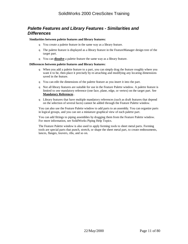## *Palette Features and Library Features - Similarities and Differences*

#### **Similarities between palette features and library features:**

- q You create a palette feature in the same way as a library feature.
- q The palette feature is displayed as a library feature in the FeatureManager design tree of the target part.
- q You can **dissolve** a palette feature the same way as a library feature.

#### **Differences between palette features and library features:**

- q When you add a palette feature to a part, you can simply drag the feature roughly where you want it to be, then place it precisely by re-attaching and modifying any locating dimensions saved in the feature.
- q You can edit the dimensions of the palette feature as you insert it into the part.
- q Not all library features are suitable for use in the Feature Palette window. A palette feature is limited to *one* mandatory reference (one face, plane, edge, or vertex) on the target part. See **Mandatory References** .
- q Library features that have multiple mandatory references (such as draft features that depend on the selection of several faces) cannot be added through the Feature Palette window.

You can also use the Feature Palette window to add parts to an assembly. You can organize parts in logical groups, and you can see a miniature graphical view of each palette part.

You can add fittings to piping assemblies by dragging them from the Feature Palette window. For more information, see SolidWorks Piping Help Topics.

The Feature Palette window is also used to apply forming tools to sheet metal parts. Forming tools are special parts that punch, stretch, or shape the sheet metal part, to create embossments, lances, flanges, louvers, ribs, and so on.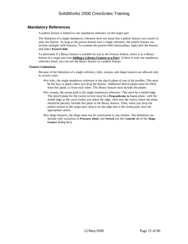#### **Mandatory References**

A palette feature is limited to *one* mandatory reference on the target part.

The limitation of a single mandatory reference does not mean that a palette feature can consist of only one feature. As long as the *parent* feature uses a single reference, the palette feature can include multiple *child* features. To examine the parent/child relationships, right-click the feature, and select **Parent/Child**.

To determine if a library feature is suitable for use in the Feature Palette, insert it as a library feature in a target part (see **Adding a Library Feature to a Part**). If there is only one mandatory reference listed, you can use the library feature as a palette feature.

#### **Feature Limitations**

Because of the limitation of a single reference, lofts, sweeps, and shape features are allowed only in certain cases:

- •For lofts, the single mandatory reference is the sketch plane of one of the profiles. This must be the face or plane where you drop the feature. Additional sketch planes must be offset from this plane, or from each other. The library feature must include the planes.
- •For sweeps, the sweep *path* is the single mandatory reference. This must be a model edge. The sketch plane for the sweep *section* must be a **Perpendicular to Curve** plane, with the model edge as the curve (when you select the edge, click near the vertex where the plane should be placed). Include this plane in the library feature. Then, when you drop the palette feature in the target part, drop it on the edge that is the sweep path, near the appropriate vertex.
- •For shape features, the shape must not be constrained to any entities. The definition can include only variations in **Pressure**, **Bend**, and **Stretch** (on the **Controls** tab of the **Shape Feature** dialog box).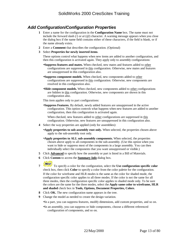## *Add Configuration/Configuration Properties*

- **1** Enter a name for the configuration in the **Configuration Name** box. The name must not include the forward slash (/) or *at* (@) character. A warning message appears when you close the dialog box if the name field contains either of these characters, if the field is blank, or if the name already exists.
- **2** Enter a **Comment** that describes the configuration. (Optional)
- **3** Select **Properties for newly inserted items**.

These options control what happens when new items are added to another configuration, and then this configuration is activated again. They apply only to assembly configurations:

- •**Suppress features and mates.** When checked, new mates and features added to other configurations are suppressed in this configuration. Otherwise, new mates and features are unsuppressed in this configuration also.
- •**Suppress component models.** When checked, new components added to other configurations are suppressed in this configuration. Otherwise, new components are resolved in this configuration also.
- •**Hide component models.** When checked, new components added to other configurations are hidden in this configuration. Otherwise, new components are shown in this configuration also.

This item applies only to part configurations:

•**Suppress Features.** By default, newly added features are unsuppressed in the active configuration. This option controls what happens when new features are added to another configuration, then this configuration is activated again.

When checked, new features added to other configurations are suppressed in this configuration. Otherwise, new features are unsuppressed in this configuration also.

- **4** Select the way properties are applied (only for assemblies):
	- •**Apply properties to sub-assembly root only.** When selected, the properties chosen above apply to the sub-assembly root only.
	- •**Apply properties to ALL sub-assembly components.** When selected, the properties chosen above apply to all components in the sub-assembly. (Use this option when you want to hide or suppress most of the components in a large assembly. You can then individually select the components that you want unsuppressed or visible.)
- **5** Click **Advanced** to specify how the assembly or part is listed in a Bill of Materials.
- **6** Click **Custom** to access the **Summary Info** dialog box.
- Now!

**7** To specify a color for the configuration, select the **Use configuration specific color** check box, then click **Color** to specify a color from the color palette for the configuration. If the color for wireframe and HLR modes is the same as the color for shaded mode, the configuration specific color applies to all three modes. If the color is not the same for all three modes, then the configuration specific color applies to shaded mode only. To be sure the colors are the same for the three modes, select the **Apply same color to wireframe, HLR and shaded** check box in **Tools, Options, Document Properties, Colors**.

- **8** Click **OK.** The new configuration name appears in the tree.
- **9** Change the model as needed to create the design variation.

•In a part, you can suppress features, modify dimensions, add custom properties, and so on.

•In an assembly, you can suppress or hide components, choose a different referenced configuration of components, and so on.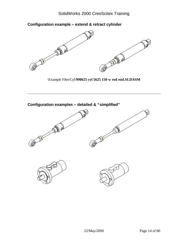**Configuration example – extend & retract cylinder** 



\Example Files\Cyl\**990625 cyl 5625 150 w rod end.SLDASM**

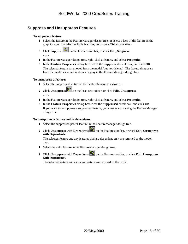## **Suppress and Unsuppress Features**

#### **To suppress a feature:**

- **1** Select the feature in the FeatureManager design tree, or select a face of the feature in the graphics area. To select multiple features, hold down **Ctrl** as you select.
- **2** Click **Suppress**  $\left[\frac{\mathbf{B}}{\mathbf{I}}\right]$  on the Features toolbar, or click **Edit, Suppress.** - or -
- **1** In the FeatureManager design tree, right-click a feature, and select **Properties**.
- **2** In the **Feature Properties** dialog box, select the **Suppressed** check box, and click **OK**. The selected feature is removed from the model (but not deleted). The feature disappears from the model view and is shown in gray in the FeatureManager design tree.

#### **To unsuppress a feature:**

- **1** Select the suppressed feature in the FeatureManager design tree.
- **2** Click **Unsuppress**  $\frac{|\mathbf{B}||\mathbf{t}|}{|\mathbf{B}||\mathbf{t}|}$  on the Features toolbar, or click **Edit, Unsuppress.** - or -
- **1** In the FeatureManager design tree, right-click a feature, and select **Properties**.
- **2** In the **Feature Properties** dialog box, clear the **Suppressed** check box, and click **OK**. If you want to unsuppress a suppressed feature, you must select it using the FeatureManager design tree.

#### **To unsuppress a feature and its dependents:**

- **1** Select the suppressed parent feature in the FeatureManager design tree.
- **2** Click **Unsuppress with Dependents**  $\boxed{\frac{84}{20}}$  on the Features toolbar, or click **Edit, Unsuppress with Dependents**.

The selected feature and any features that are dependent on it are returned to the model. - or -

- **1** Select the child feature in the FeatureManager design tree.
- **2** Click **Unsuppress with Dependents**  $\frac{1}{2}$  on the Features toolbar, or click **Edit, Unsuppress with Dependents**.

The selected feature and its parent feature are returned to the model.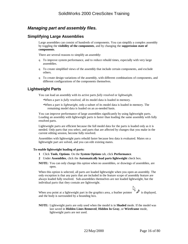## *Managing part and assembly files.*

#### **Simplifying Large Assemblies**

Large assemblies can consist of hundreds of components. You can simplify a complex assembly by toggling the **visibility of the components**, and by changing the **suppression state of components**.

There are several reasons to simplify an assembly:

- q To improve system performance, and to reduce rebuild times, especially with very large assemblies.
- q To create simplified views of the assembly that include certain components, and exclude others.
- q To create design variations of the assembly, with different combinations of components, and different configurations of the components themselves.

## **Lightweight Parts**

You can load an assembly with its active parts *fully resolved* or *lightweight*.

- •When a part is *fully resolved*, all its model data is loaded in memory.
- •When a part is *lightweight*, only a subset of its model data is loaded in memory. The remaining model data is loaded on an as-needed basis.

You can improve performance of large assemblies significantly by using lightweight parts. Loading an assembly with lightweight parts is faster than loading the same assembly with fully resolved parts.

Lightweight parts are efficient because the full model data for the parts is loaded only as it is needed. Only parts that you select, and parts that are affected by changes that you make in the current editing session, become fully resolved.

Assemblies with lightweight parts rebuild faster because less data is evaluated. Mates on a lightweight part are solved, and you can edit existing mates.

#### **To enable lightweight loading of parts:**

- **1** Click **Tools**, **Options**. On the **System Options** tab, click **Performance**.
- **2** Under **Assemblies**, click the **Automatically load parts lightweight** check box.
- **NOTE:** You can only change this option when no assemblies, or drawings of assemblies, are open.

When this option is selected, all parts are loaded lightweight when you open an assembly. The only exception is that any parts that are included in the feature scope of assembly feature are always loaded fully resolved. Sub-assemblies themselves are not loaded lightweight, but the individual parts that they contain are lightweight.

When you point at a lightweight part in the graphics area, a feather pointer  $\overrightarrow{a}$  is displayed, and the body is surrounded by a bounding box.

**NOTE:** Lightweight parts are only used when the model is in **Shaded** mode. If the model was last saved in **Hidden Lines Removed**, **Hidden In Gray**, or **Wireframe** mode, lightweight parts are not used.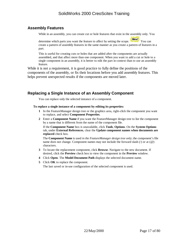## **Assembly Features**

While in an assembly, you can create cut or hole features that exist in the assembly only. You

determine which parts you want the feature to affect by setting the scope. **The way of the state of the scope** create a pattern of assembly features in the same manner as you create a pattern of features in a part.

This is useful for creating cuts or holes that are added after the components are actually assembled, and that affect more than one component. When you want to add a cut or hole to a single component in an assembly, it is better to edit the part in context than to use an assembly feature.

While it is not a requirement, it is good practice to fully define the positions of the components of the assembly, or fix their locations before you add assembly features. This helps prevent unexpected results if the components are moved later.

#### **Replacing a Single Instance of an Assembly Component**

You can replace only the selected instance of a component.

#### **To replace a single instance of a component by editing its properties:**

- **1** In the FeatureManager design tree or the graphics area, right-click the component you want to replace, and select **Component Properties**.
- **2** Enter a **Component Name** if you want the FeatureManager design tree to list the component by a name that is different from the name of the component file.

If the **Component Name** box is unavailable, click **Tools**, **Options**. On the **System Options** tab, under **External References**, clear the **Update component names when documents are replaced** check box.

The **Component Name** is used *in the FeatureManager design tree only*; the component's file name does not change. Component names may not include the forward slash (/) or at (@) characters.

- **3** To locate the replacement component, click **Browse**. Navigate to the new document. If desired, click the **Preview** check box to view the component in the **Preview** window.
- **4** Click **Open**. The **Model Document Path** displays the selected document name.
- **5** Click **OK** to replace the component.

The last saved or in-use configuration of the selected component is used.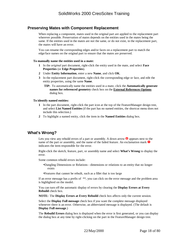#### **Preserving Mates with Component Replacement**

When replacing a component, mates used in the original part are applied to the replacement part wherever possible. Preservation of mates depends on the entities used in the mates being the same. If the entities used in the mates are not the same, or do not exist, in the replacement part, the mates will have an error.

You can rename the corresponding edges and/or faces on a replacement part to match the edge/face names on the original part to ensure that the mates are preserved.

#### **To manually name the entities used in a mate:**

- **1** In the *original* part document, right-click the entity used in the mate, and select **Face Properties** (or **Edge Properties**).
- **2** Under **Entity Information**, enter a new **Name**, and click **OK**.
- **3** In the replacement part document, right-click the corresponding edge or face, and edit the entity properties, using the same **Name**.

**TIP:** To automatically name the entities used in a mate, click the **Automatically generate names for referenced geometry** check box on the **External References Options** dialog box.

#### **To identify named entities:**

- **1** In the part document, right-click the part icon at the top of the FeatureManager design tree, and select **List Named Entities** (if the part has no named entities, the shortcut menu does not include this selection.)
- **2** To highlight a named entity, click the item in the **Named Entities** dialog box.

#### **What's Wrong?**

Lets you view any rebuild errors of a part or assembly. A down arrow  $\bullet$  appears next to the name of the part or assembly, and the name of the failed feature. An exclamation mark  $\mathbf{\Theta}$ indicates the item responsible for the error.

Right-click the sketch, feature, part, or assembly name and select **What's Wrong** to display the error.

Some common rebuild errors include:

- •Dangling Dimensions or Relations dimensions or relations to an entity that no longer exists
- •Features that cannot be rebuilt, such as a fillet that is too large

If an error message has a prefix of \*\*, you can click on the error message and the problem area is highlighted on the model.

You can turn off the automatic display of errors by clearing the **Display Errors at Every Rebuild** check box.

**NOTE:** The **Display Errors at Every Rebuild** check box affects only the current session.

Select the **Display Full message** check box if you want the complete message displayed whenever there is an error. Otherwise, an abbreviated message is displayed. (The default is **Display Full message**.)

The **Rebuild Errors** dialog box is displayed when the error is first generated, or you can display the dialog box at any time by right-clicking on the part in the FeatureManager design tree.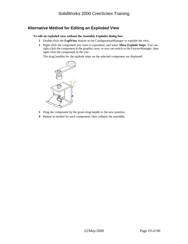## **Alternative Method for Editing an Exploded View**

#### **To edit an exploded view without the Assembly Exploder dialog box:**

- **1** Double-click the **ExplView** feature in the ConfigurationManager to explode the view.
- **2** Right-click the component you want to reposition, and select **Show Explode Steps**. You can right-click the component in the graphics area, or you can switch to the FeatureManager, then right-click the component in the tree.

The drag handles for the explode steps on the selected component are displayed.



- **3** Drag the component by the green drag handle to the new position.
- **4** Repeat as needed for each component, then collapse the assembly.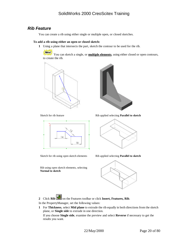## *Rib Feature*

You can create a rib using either single or multiple open, or closed sketches.

#### **To add a rib using either an open or closed sketch:**

**1** Using a plane that intersects the part, sketch the contour to be used for the rib.

New! You can sketch a single, or **multiple elements**, using either closed or open contours, to create the rib.







Sketch for rib using open sketch elements Rib applied selecting **Parallel to sketch**

Rib using open sketch elements, selecting **Normal to sketch**

Sketch for rib feature **Rib** applied selecting **Parallel to sketch** 





**2** Click **Rib** on the Features toolbar or click **Insert, Features, Rib**.

In the PropertyManager, set the following values:

**1** For **Thickness**, select **Mid plane** to extrude the rib equally in both directions from the sketch plane, or **Single side** to extrude in one direction.

If you choose **Single side**, examine the preview and select **Reverse** if necessary to get the results you want.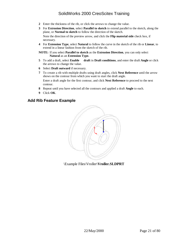- **2** Enter the thickness of the rib, or click the arrows to change the value.
- **3** For **Extrusion Direction**, select **Parallel to sketch** to extend parallel to the sketch, along the plane, or **Normal to sketch** to follow the direction of the sketch. Note the direction of the preview arrow, and click the **Flip material side** check box, if necessary.
- **4** For **Extension Type**, select **Natural** to follow the curve in the sketch of the rib or **Linear**, to extend in a linear fashion from the sketch of the rib.
- **NOTE:** If you select **Parallel to sketch** as the **Extrusion Direction**, you can only select **Natural** as an **Extension Type.**
- **5** To add a draft, select **Enable draft** in **Draft conditions**, and enter the draft **Angle** or click the arrows to change the value.
- **6** Select **Draft outward** if necessary.
- **7** To create a rib with multiple drafts using draft angles, click **Next Reference** until the arrow shows on the contour from which you want to start the draft angle.

Enter a draft angle for the first contour, and click **Next Reference** to proceed to the next contour.

- **8** Repeat until you have selected all the contours and applied a draft **Angle** to each.
- **9** Click **OK**.

#### **Add Rib Feature Example**



\Example Files\Vroller\**Vroller.SLDPRT**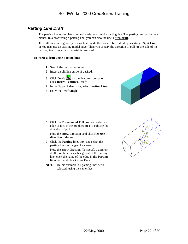## *Parting Line Draft*

The parting line option lets you draft surfaces around a parting line. The parting line can be nonplanar. In a draft using a parting line, you can also include a **Step draft**.

To draft on a parting line, you may first divide the faces to be drafted by inserting a **Split Line**, or you may use an existing model edge. Then you specify the direction of pull, or the side of the parting line from which material is removed.

#### **To insert a draft angle parting line:**

- **1** Sketch the part to be drafted.
- **2** Insert a split line curve, if desired.
- **3** Click **Draft** on the Features toolbar or click **Insert, Features, Draft**.
- **4** In the **Type of draft** box, select **Parting Line**.
- **5** Enter the **Draft angle**.



**6** Click the **Direction of Pull** box, and select an edge or face in the graphics area to indicate the direction of pull.

Note the arrow direction, and click **Reverse direction** if desired.

**7** Click the **Parting lines** box, and select the parting lines in the graphics area.

Note the arrow direction. To specify a different draft direction for each segment of the parting line, click the name of the edge in the **Parting lines** box, and click **Other Face**.

**NOTE:** In this example, all parting lines were selected, using the same face.

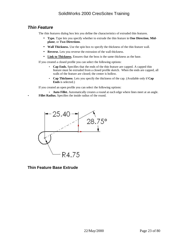## *Thin Feature*

The thin features dialog box lets you define the characteristics of extruded thin features.

- **Type.** Type lets you specify whether to extrude the thin feature in **One Direction**, **Midplane**, or **Two Directions**.
- **Wall Thickness.** Use the spin box to specify the thickness of the thin feature wall.
- **Reverse.** Lets you reverse the extrusion of the wall thickness.
- **Link to Thickness.** Ensures that the boss is the same thickness as the base.

If you created a closed profile you can select the following options:

- **Cap Ends.** Specifies that the ends of the thin feature are capped. A capped thin feature must be extruded from a closed profile sketch. When the ends are capped, all walls of the feature are closed; the center is hollow.
- **Cap Thickness**. Lets you specify the thickness of the cap. (Available only if **Cap Ends** is selected.)

If you created an open profile you can select the following options:

• **Auto Fillet.** Automatically creates a round at each edge where lines meet at an angle. Fillet Radius. Specifies the inside radius of the round.



**Thin Feature Base Extrude**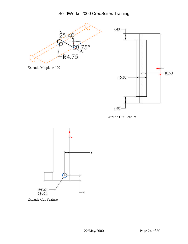

Extrude Midplane 102







Extrude Cut Feature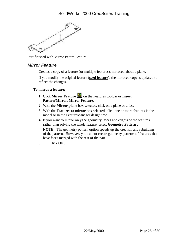

Part finished with Mirror Patern Feature

## *Mirror Feature*

Creates a copy of a feature (or multiple features), mirrored about a plane.

If you modify the original feature (**seed feature**), the mirrored copy is updated to reflect the changes.

#### **To mirror a feature:**

- **1** Click **Mirror Feature** on the Features toolbar or **Insert**, **Pattern/Mirror**, **Mirror Feature**.
- **2** With the **Mirror plane** box selected, click on a plane or a face.
- **3** With the **Features to mirror** box selected, click one or more features in the model or in the FeatureManager design tree.
- **4** If you want to mirror only the geometry (faces and edges) of the features, rather than solving the whole feature, select **Geometry Pattern . NOTE:** The geometry pattern option speeds up the creation and rebuilding of the pattern. However, you cannot create geometry patterns of features that have faces merged with the rest of the part.
- **5** Click **OK**.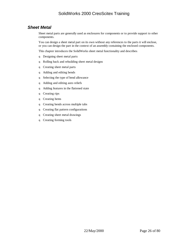## *Sheet Metal*

Sheet metal parts are generally used as enclosures for components or to provide support to other components.

You can design a sheet metal part on its own without any references to the parts it will enclose, or you can design the part in the context of an assembly containing the enclosed components.

This chapter introduces the SolidWorks sheet metal functionality and describes:

- q Designing sheet metal parts
- q Rolling back and rebuilding sheet metal designs
- q Creating sheet metal parts
- q Adding and editing bends
- q Selecting the type of bend allowance
- q Adding and editing auto reliefs
- q Adding features in the flattened state
- q Creating rips
- q Creating hems
- q Creating bends across multiple tabs
- q Creating flat pattern configurations
- q Creating sheet metal drawings
- q Creating forming tools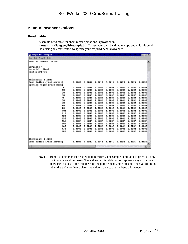## **Bend Allowance Options**

#### **Bend Table**

A sample bend table for sheet metal operations is provided in **<***install\_dir***>\lang\english\sample.btl**. To use your own bend table, copy and edit this bend table using any text editor, to specify your required bend allowances.

| <b>El xample.btl - Notepad</b> |     |         |               |        |        |               |        | EDX    |
|--------------------------------|-----|---------|---------------|--------|--------|---------------|--------|--------|
| File Edit Search Help          |     |         |               |        |        |               |        |        |
| Bend Allowance Tables          |     |         |               |        |        |               |        |        |
|                                |     |         |               |        |        |               |        |        |
| Version: 1                     |     |         |               |        |        |               |        |        |
| Material: Steel                |     |         |               |        |        |               |        |        |
| Wnits: meters                  |     |         |               |        |        |               |        |        |
|                                |     |         |               |        |        |               |        |        |
| Thickness: 0.0005              |     |         |               |        |        |               |        |        |
| Bend Radius (read across)      |     | 8.0000  | 8.8005        | 8.8818 | 8.8815 | 8.8028        | 0.0025 | 8.0030 |
| Opening Amgle (read dowm)      |     |         |               |        |        |               |        |        |
|                                | 5   | 0.0002  | 0.0002        | 0.0002 | 0.0002 | 0.0002        | 0.0002 | 0.0002 |
|                                | 18  | 8.0002  | 0.0002        | 8.8882 | 8.0002 | 0.0002        | 0.0002 | 8.8882 |
|                                | 28  | 8.8882  | 8.8082        | 8.8882 | 8.8882 | 8.8082        | 8.9882 | 8.8882 |
|                                | 30  | 0.0002  | 0.0002        | 0.0002 | 0.0002 | <b>U.UOUZ</b> | 0.0002 | 0.0002 |
|                                | 45  | 0.0002  | 0.0002        | 0.0002 | 0.0002 | 0.0002        | 0.0002 | 0.0002 |
|                                | 58  | 8.8882  | 0.0002        | 8.8882 | 8.8882 | 8.8082        | 8.9892 | 8.8882 |
|                                | 78  | 8.0002  | 8.8082        | 8.8882 | 8.8882 | 8.8082        | 8.9882 | 8.8882 |
|                                | 80  | 0.0002  | 0.0002        | 0.0002 | 0.0002 | <b>0.0002</b> | 0.0002 | 0.0002 |
|                                | 98  | 8.0002  | 0.0002        | 8.0002 | 8.0002 | 0.0002        | 0.0002 | 0.0002 |
|                                | 189 | 8.8882  | 8.8082        | 8.8882 | 8.8882 | 8.8082        | 0.0002 | 8.8882 |
|                                | 110 | 0.0002  | 0.0002        | 0.0002 | 0.0002 | <b>U.UOUZ</b> | 0.0002 | 0.0002 |
|                                | 120 | 0.0002  | 0.0002        | 0.0002 | 0.0002 | 0.0002        | 0.0002 | 0.0002 |
|                                | 139 | 8.8882  | 8.8082        | 8.8882 | 8.8882 | 8.8082        | 0.0002 | 8.8882 |
|                                | 148 | 8.8882  | 8.8082        | 8.8882 | 8.8882 | 8.8082        | 0.0002 | 8.0002 |
|                                | 145 | 0.0002  | 0.0002        | 0.0002 | 0.0002 | 8.8002        | 0.0002 | 0.0002 |
|                                | 169 | 8.0002  | 0.0002        | 0.0002 | 8.0002 | 0.0002        | 0.0002 | 0.0002 |
|                                | 179 | 8.8882  | 8.8082        | 8.8882 | 8.8882 | 8.8082        | 8.9882 | 8.8882 |
|                                | 189 | 0.0002  | <b>U.UOUZ</b> | 0.0002 | 0.0002 | <b>U.UOUZ</b> | 0.0002 | 0.0002 |
|                                |     |         |               |        |        |               |        |        |
| Thickness: 0.0010              |     |         |               |        |        |               |        |        |
| Bend Radius (read across)      |     | a. onen | <b>U.UOUS</b> | 0.0010 | 0.0015 | 0.0020        | 0.0025 | 0.0030 |
|                                |     |         |               |        |        |               |        |        |
| ۰I                             |     |         |               |        |        |               |        |        |

**NOTE:** Bend table units must be specified in meters. The sample bend table is provided only for informational purposes. The values in this table do not represent any actual bend allowance values. If the thickness of the part or bend angle falls between values in the table, the software interpolates the values to calculate the bend allowance.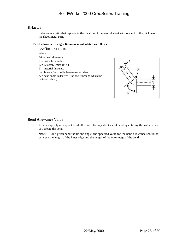#### **K-factor**

K-factor is a ratio that represents the location of the neutral sheet with respect to the thickness of the sheet metal part.

#### **Bend allowance using a K-factor is calculated as follows:**

 $BA=\Pi(R+KT)$   $A/180$ where:  $BA = bend$  allowance  $R =$  inside bend radius  $K = K$  factor, which is t / T  $T =$  material thickness  $t = distance from inside face to neutral sheet$  $A =$  bend angle in degrees (the angle through which the material is bent)



#### **Bend Allowance Value**

You can specify an explicit bend allowance for any sheet metal bend by entering the value when you create the bend.

**Note:** For a given bend radius and angle, the specified value for the bend allowance should be between the length of the inner edge and the length of the outer edge of the bend.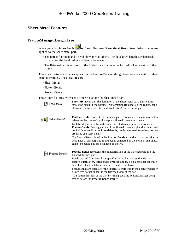## **Sheet Metal Features**

#### **FeatureManager Design Tree**

When you click **Insert Bends or Insert, Features, Sheet Metal, Bends**, two distinct stages are applied to the sheet metal part.

- •The part is flattened and a bend allowance is added. The developed length is calculated, based on the bend radius and bend allowance.
- •The flattened part is restored to the folded state to create the formed, folded version of the part.

Three new features and icons appear on the FeatureManager design tree that are specific to sheet metal operations. These features are:

- •Sheet-Metal
- •Flatten-Bends
- •Process-Bends

These three features represent a process plan for the sheet metal part.

| 题 Sheet-Metal1       | <b>Sheet-Metal</b> contains the definition of the sheet metal part. This feature<br>stores the default bend parameter information (thickness, bend radius, bend<br>allowance, auto relief ratio, and fixed entity) for the entire part.                                                                                                                                                                                               |
|----------------------|---------------------------------------------------------------------------------------------------------------------------------------------------------------------------------------------------------------------------------------------------------------------------------------------------------------------------------------------------------------------------------------------------------------------------------------|
| Flatten-Bends1<br>Ė- | <b>Flatten-Bends</b> represents the flattened part. This feature contains information<br>related to the conversion of sharp and filleted corners into bends.<br>Each bend generated from the model is listed as a separate feature under<br>Flatten-Bends. Bends generated from filleted corners, cylindrical faces, and<br>conical faces are listed as Round-Bends; bends generated from sharp corners<br>are listed as Sharp-Bends. |
|                      | The Sharp-Sketch listed under Flatten-Bends is the sketch that contains the<br>bend lines of all sharp and round bends generated by the system. This sketch<br>cannot be edited but can be hidden or shown.                                                                                                                                                                                                                           |
| Process-Bends1       | <b>Process-Bends</b> represents the transformation of the flattened part into the<br>finished, formed part.                                                                                                                                                                                                                                                                                                                           |
|                      | Bends created from bend lines specified in the flat are listed under this<br>feature. FlatSketch, listed under Process-Bends, is a placeholder for these<br>bend lines. This sketch can be edited, hidden, or shown.                                                                                                                                                                                                                  |
|                      | Features that are listed after the <b>Process-Bends</b> icon in the FeatureManager<br>design tree do not appear in the flattened view of the part.                                                                                                                                                                                                                                                                                    |
|                      | You flatten the view of the part by rolling back the FeatureManager design<br>tree to before the <b>Process-Bends</b> feature.                                                                                                                                                                                                                                                                                                        |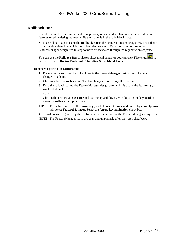## **Rollback Bar**

Reverts the model to an earlier state, suppressing recently added features. You can add new features or edit existing features while the model is in the rolled-back state.

You can roll back a part using the **Rollback Bar** in the FeatureManager design tree. The rollback bar is a wide yellow line which turns blue when selected. Drag the bar up or down the FeatureManager design tree to step forward or backward through the regeneration sequence.

You can use the **Rollback Bar** to flatten sheet metal bends, or you can click **Flattened** to flatten. See also **Rolling Back and Rebuilding Sheet Metal Parts**.

#### **To revert a part to an earlier state:**

- **1** Place your cursor over the rollback bar in the FeatureManager design tree. The cursor changes to a hand.
- **2** Click to select the rollback bar. The bar changes color from yellow to blue.
- **3** Drag the rollback bar up the FeatureManager design tree until it is above the feature(s) you want rolled back,

- or -

Click in the FeatureManager tree and use the up and down arrow keys on the keyboard to move the rollback bar up or down.

- **TIP:** To enable this use of the arrow keys, click **Tools**, **Options**, and on the **System Options**  tab, select **FeatureManager**. Select the **Arrow key navigation** check box.
- **4** To roll forward again, drag the rollback bar to the bottom of the FeatureManager design tree.

**NOTE:** The FeatureManager icons are gray and unavailable after they are rolled back.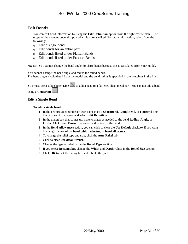#### **Edit Bends**

You can edit bend information by using the **Edit Definition** option from the right-mouse menu. The scope of the changes depends upon which feature is edited. For more information, select from the following:

- <sup>q</sup> Edit a single bend.
- <sup>q</sup> Edit bends for an entire part.
- <sup>q</sup> Edit bends listed under Flatten-Bends.
- <sup>q</sup> Edit bends listed under Process-Bends.

**NOTE:** You cannot change the bend angle for sharp bends because this is calculated from your model.

You cannot change the bend angle and radius for round bends. The bend angle is calculated from the model and the bend radius is specified in the sketch or in the fillet.

You must use a solid sketch **Line** to add a bend to a flattened sheet metal part. You can not add a bend using a **Centerline** 

#### **Edit a Single Bend**

#### **To edit a single bend:**

- **1** In the FeatureManager design tree, right-click a **SharpBend**, **RoundBend**, or **FlatBend** item that you want to change, and select **Edit Definition**.
- **2** In the dialog box that comes up, make changes as needed to the bend **Radius**, **Angle**, or **Order**. Click **Bend Down** to reverse the direction of the bend.
- **3** In the **Bend Allowance** section, you can click to clear the **Use Default** checkbox if you want to change the use of the **bend table** , **k-factor**, or **bend allowance** .
- **4** To change the relief type and size, click the **Auto Relief** tab.
- **5** Click to clear **Use default relief**.
- **6** Change the type of relief cut in the **Relief Type** section.
- **7** If you select **Rectangular**, change the **Width** and **Depth** values in the **Relief Size** section.
- **8** Click **OK** to exit the dialog box and rebuild the part.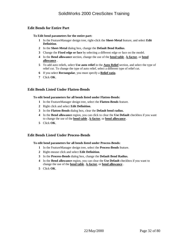#### **Edit Bends for Entire Part**

#### **To Edit bend parameters for the entire part:**

- **1** In the FeatureManager design tree, right-click the **Sheet-Metal** feature, and select **Edit Definition**.
- **2** In the **Sheet-Metal** dialog box, change the **Default Bend Radius**.
- **3** Change the **Fixed edge or face** by selecting a different edge or face on the model.
- **4** In the **Bend allowance** section, change the use of the **bend table** , **k-factor**, or **bend allowance** .
- **5** To add auto reliefs, select **Use auto relief** in the **Auto Relief** section, and select the type of relief cut. To change the type of auto relief, select a different type of relief cut.
- **6** If you select **Rectangular**, you must specify a **Relief ratio**.
- **7** Click **OK**.

#### **Edit Bends Listed Under Flatten-Bends**

#### **To edit bend parameters for all bends listed under Flatten-Bends:**

- **1** In the FeatureManager design tree, select the **Flatten-Bends** feature.
- **2** Right click and select **Edit Definition**.
- **3** In the **Flatten-Bends** dialog box, clear the **Default bend radius.**
- **4** In the **Bend allowance** region, you can click to clear the **Use Default** checkbox if you want to change the use of the **bend table** , **k-factor**, or **bend allowance** .
- **5** Click **OK**.

#### **Edit Bends Listed Under Process-Bends**

#### **To edit bend parameters for all bends listed under Process-Bends:**

- **1** In the FeatureManager design tree, select the **Process-Bends** feature.
- **2** Right-mouse click and select **Edit Definition**.
- **3** In the **Process-Bends** dialog box, change the **Default Bend Radius.**
- **4** In the **Bend allowance** region, you can clear the **Use Default** checkbox if you want to change the use of the **bend table** , **k-factor**, or **bend allowance** .
- **5** Click **OK**.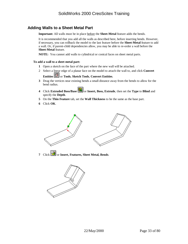## **Adding Walls to a Sheet Metal Part**

**Important:** All walls must be in place before the **Sheet-Metal** feature adds the bends.

It is recommended that you add all the walls as described here, before inserting bends. However, if necessary, you can rollback the model to the last feature before the **Sheet-Metal** feature to add a wall. Or, if parent-child dependencies allow, you may be able to re-order a wall before the **Sheet-Metal** feature.

**NOTE:** You cannot add walls to cylindrical or conical faces on sheet metal parts.

#### **To add a wall to a sheet metal part:**

- **1** Open a sketch on the face of the part where the new wall will be attached.
- 2 Select a linear edge of a planar face on the model to attach the wall to, and click **Convert** 
	- **Entities**  $\boxed{\Box}$  or **Tools**, **Sketch Tools**, **Convert Entities**.
- **3** Drag the vertices near existing bends a small distance away from the bends to allow for the bend radius.
- **4** Click **Extruded Boss/Base** or **Insert, Boss, Extrude**, then set the **Type** to **Blind** and specify the **Depth**.
- **5** On the **Thin Feature** tab, set the **Wall Thickness** to be the same as the base part.
- **6** Click **OK**.



**7** Click or **Insert, Features, Sheet Metal, Bends**.

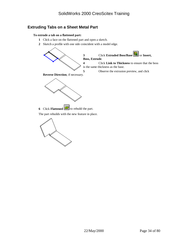## **Extruding Tabs on a Sheet Metal Part**

#### **To extrude a tab on a flattened part:**

- **1** Click a face on the flattened part and open a sketch.
- **2** Sketch a profile with one side coincident with a model edge.



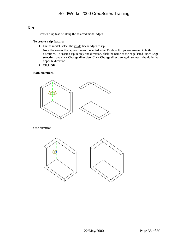## **Rip**

Creates a rip feature along the selected model edges.

#### **To create a rip feature:**

**1** On the model, select the inside linear edges to rip.

Note the arrows that appear on each selected edge. By default, rips are inserted in both directions. To insert a rip in only one direction, click the name of the edge listed under **Edge selection**, and click **Change direction**. Click **Change direction** again to insert the rip in the opposite direction.

**2** Click **OK**.

#### **Both directions:**



**One direction:**

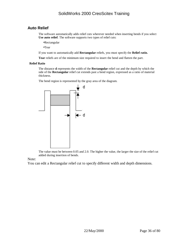## **Auto Relief**

The software automatically adds relief cuts wherever needed when inserting bends if you select **Use auto relief**. The software supports two types of relief cuts:

•Rectangular

•Tear

If you want to automatically add **Rectangular** reliefs, you must specify the **Relief ratio.** 

**Tear** reliefs are of the minimum size required to insert the bend and flatten the part.

#### **Relief Ratio**

The distance **d** represents the width of the **Rectangular** relief cut and the depth by which the side of the **Rectangular** relief cut extends past a bend region, expressed as a ratio of material thickness.

The bend region is represented by the gray area of the diagram.



The value must be between 0.05 and 2.0. The higher the value, the larger the size of the relief cut added during insertion of bends.

#### Note:

You can edit a Rectangular relief cut to specify different width and depth dimensions.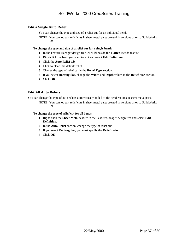## **Edit a Single Auto Relief**

You can change the type and size of a relief cut for an individual bend.

**NOTE:** You cannot edit relief cuts in sheet metal parts created in versions prior to SolidWorks 99.

### **To change the type and size of a relief cut for a single bend:**

- **1** In the FeatureManager design tree, click  $\mathbb{E}$  beside the **Flatten-Bends** feature.
- **2** Right-click the bend you want to edit and select **Edit Definition**.
- **3** Click the **Auto Relief** tab.
- **4** Click to clear Use default relief.
- **5** Change the type of relief cut in the **Relief Type** section.
- **6** If you select **Rectangular**, change the **Width** and **Depth** values in the **Relief Size** section.
- **7** Click **OK**.

## **Edit All Auto Reliefs**

You can change the type of auto reliefs automatically added to the bend regions in sheet metal parts.

**NOTE:** You cannot edit relief cuts in sheet metal parts created in versions prior to SolidWorks 99.

### **To change the type of relief cut for all bends:**

- **1** Right-click the **Sheet-Metal** feature in the FeatureManager design tree and select **Edit Definition**.
- **2** In the **Auto Relief** section, change the type of relief cut.
- **3** If you select **Rectangular**, you must specify the **Relief ratio**.
- **4** Click **OK**.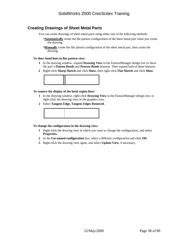## **Creating Drawings of Sheet Metal Parts**

You can create drawings of sheet metal parts using either one of the following methods:

•**Automatically** create the flat pattern configuration of the sheet metal part when you create the drawing.

•**Manually** create the flat pattern configuration of the sheet metal part, then create the drawing.

### **To show bend lines in flat pattern view:**

- **1** In the drawing window, expand **Drawing View** in the FeatureManager design tree to show the part's **Flatten-Bends** and **Process-Bends** features. Then expand both of these features.
- **2** Right-click **Sharp-Sketch** and click **Show,** then right-click **Flat-Sketch** and click **Show**.

### **To remove the display of the bend region lines:**

- **1** In the drawing window, right-click **Drawing View** in the FeatureManager design tree, or right-click the drawing view in the graphics area.
- **2** Select **Tangent Edge, Tangent Edges Removed**.



### **To change the configuration in the drawing view:**

- **1** Right-click the drawing view in which you want to change the configuration, and select **Properties**.
- **2** In the **Use named configuration** box, select a different configuration and click **OK**.
- **3** Right-click the drawing view again, and select **Update View**, if necessary.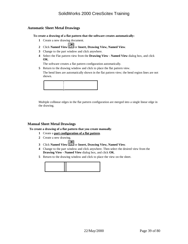## **Automatic Sheet Metal Drawings**

**To create a drawing of a flat pattern that the software creates automatically:**

- **1** Create a new drawing document.
- **2** Click **Named View**  $\boxed{\sum_{n=0}^{N}}$  or **Insert, Drawing View, Named View.**
- **3** Change to the part window and click anywhere.
- **4** Select the Flat pattern view from the **Drawing View Named View** dialog box, and click **OK**.

The software creates a flat pattern configuration automatically.

**5** Return to the drawing window and click to place the flat pattern view.

The bend lines are automatically shown in the flat pattern view; the bend region lines are not shown.

Multiple collinear edges in the flat pattern configuration are merged into a single linear edge in the drawing.

### **Manual Sheet Metal Drawings**

**To create a drawing of a flat pattern that you create manually**:

- **1** Create a **part configuration of a flat pattern**.
- **2** Create a new drawing.
- **3** Click **Named View**  $\boxed{\sum_{n=0}^{N}}$  or **Insert, Drawing View, Named View.**
- **4** Change to the part window and click anywhere. Then select the desired view from the **Drawing View - Named View** dialog box, and click **OK**.
- **5** Return to the drawing window and click to place the view on the sheet.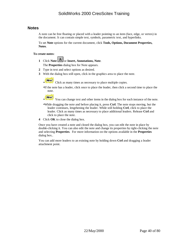## **Notes**

A note can be free floating or placed with a leader pointing to an item (face, edge, or vertex) in the document. It can contain simple text, symbols, parametric text, and hyperlinks.

To set **Note** options for the current document, click **Tools, Options, Document Properties, Notes**.

#### **To create notes:**

- **1** Click Note  $\boxed{\mathbf{A}}$  or **Insert**, Annotations, Note. The **Properties** dialog box for Note appears.
- **2** Type in text and select options as desired.
- **3** With the dialog box still open, click in the graphics area to place the note.



• New! Click as many times as necessary to place multiple copies.

•If the note has a leader, click once to place the leader, then click a second time to place the note.



• You can change text and other items in the dialog box for each instance of the note.

- •While dragging the note and before placing it, press **Ctrl**. The note stops moving, but the leader continues, lengthening the leader. While still holding **Ctrl**, click to place the leader. Click as many times as necessary to place additional leaders. Release **Ctrl** and click to place the note.
- **4** Click **OK** to close the dialog box.

Once you have created a note and closed the dialog box, you can edit the note in place by double-clicking it. You can also edit the note and change its properties by right-clicking the note and selecting **Properties**. For more information on the options available in the **Properties** dialog box..

You can add more leaders to an existing note by holding down **Ctrl** and dragging a leader attachment point.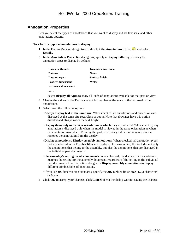## **Annotation Properties**

Lets you select the types of annotations that you want to display and set text scale and other annotations options.

### **To select the types of annotations to display:**

- **1** In the FeatureManager design tree, right-click the **Annotations** folder,  $\mathbf{T}$ , and select **Details**.
- **2** In the **Annotation Properties** dialog box, specify a **Display Filter** by selecting the annotation types to display by default:

| <b>Cosmetic threads</b>   | <b>Geometric tolerances</b> |
|---------------------------|-----------------------------|
| <b>Datums</b>             | <b>Notes</b>                |
| Datum targets             | Surface finish              |
| <b>Feature dimensions</b> | Welds                       |
| Reference dimensions      |                             |

- or -

- Select **Display all types** to show all kinds of annotations available for that part or view.
- **3** Change the values in the **Text scale** edit box to change the scale of the text used in the annotations.
- **4** Select from the following options:
	- •**Always display text at the same size.** When checked, all annotations and dimensions are displayed at the same size regardless of zoom. Note that drawings have this option disabled and always zoom the text height.
	- •**Display items only in the view orientation in which they are created.** When checked, any annotation is displayed only when the model is viewed in the same orientation as when the annotation was added. Rotating the part or selecting a different view orientation removes the annotation from the display.
	- •**Display annotations / Display assembly annotations.** When checked, all annotation types that are selected in the **Display filter** are displayed. For assemblies, this includes not only the annotations that belong to the assembly, but also the annotations that are displayed in the individual part documents.
	- •**Use assembly's setting for all components.** When checked, the display of all annotations matches the setting for the assembly document, regardless of the setting in the individual part documents. Use this option along with **Display assembly annotations** to display different combinations of annotations.
	- •If you use JIS dimensioning standards, specify the **JIS surface finish size** (1,2,3 characters) or **Scale**.
- **5** Click **OK** to accept your changes; click **Cancel** to exit the dialog without saving the changes.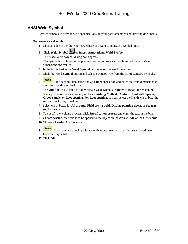## **ANSI Weld Symbol**

Creates symbols to provide weld specifications on your part, assembly, and drawing documents.

### **To create a weld symbol:**

- **1** Click an edge in the drawing view where you want to indicate a welded joint.
- **2** Click **Weld Symbol** or **Insert, Annotations, Weld Symbol**.

The ANSI Weld Symbol dialog box appears.

The symbol is displayed in the preview box as you select symbols and add appropriate dimensions and values.

- **3** In the boxes beside the **Weld Symbol** button, enter the weld dimensions.
- **4** Click the **Weld Symbol** button and select a symbol type from the list of standard symbols.
- **For a second fillet, select the 2nd fillet** check box and enter the weld dimensions in the boxes beside the check box.

The **2nd fillet** is available for only certain weld symbols (**Square** or **Bevel**, for example).

- **6** Specify other options as needed, such as **Finishing Method, Contour, Joint with Spacer**, **Groove angle**, or **Root opening**. For **Root opening**, you can select the **Inside** check box, the **Arrow** check box, or neither.
- **7** Select check boxes for **All around**, **Field or site weld**, **Display pointing down**, or **Stagger weld** as needed.
- **8** To specify the welding process, click **Specification process** and enter the text in the box.
- **9** Choose whether the weld is to be applied to the object on the **Arrow Side** or the **Other side**.
- **10** Choose a **Leader Anchor** style.
- **11 New!** If you are in a drawing with more than one layer, you can choose a named layer from the **Layer** list.
- **12** Click **OK**.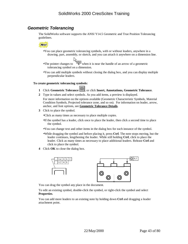## *Geometric Tolerancing*

The SolidWorks software supports the ANSI Y14.5 Geometric and True Position Tolerancing guidelines.



- •You can place geometric tolerancing symbols, with or without leaders, anywhere in a drawing, part, assembly, or sketch, and you can attach it anywhere on a dimension line.
- •The pointer changes to when it is near the handle of an arrow of a geometric  $\frac{f(x)}{n}$ tolerancing symbol on a dimension.
- •You can add multiple symbols without closing the dialog box, and you can display multiple perpendicular leaders.

### **To create geometric tolerancing symbols:**

- **1** Click **Geometric Tolerance**  $\boxed{\text{E}\textcircled{}}$ , or click **Insert, Annotations, Geometric Tolerance**.
- **2** Type in values and select symbols. As you add items, a preview is displayed.

For more information on the options available (Geometric Characteristic Symbols, Material Condition Symbols, Projected tolerance zone, and so on). For information on leader, arrow, anchor, and font options, see **Geometric Tolerance Details**.

**3** Click to place the symbol.

•Click as many times as necessary to place multiple copies.

- •If the symbol has a leader, click once to place the leader, then click a second time to place the symbol.
- •You can change text and other items in the dialog box for each instance of the symbol.
- •While dragging the symbol and before placing it, press **Ctrl**. The note stops moving, but the leader continues, lengthening the leader. While still holding **Ctrl**, click to place the leader. Click as many times as necessary to place additional leaders. Release **Ctrl** and click to place the symbol.
- **4** Click **OK** to close the dialog box.



You can drag the symbol any place in the document.

To edit an existing symbol, double-click the symbol, or right-click the symbol and select **Properties**.

You can add more leaders to an existing note by holding down **Ctrl** and dragging a leader attachment point.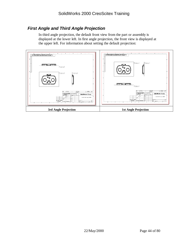## *First Angle and Third Angle Projection*

In third angle projection, the default front view from the part or assembly is displayed at the lower left. In first angle projection, the front view is displayed at the upper left. For information about setting the default projection:

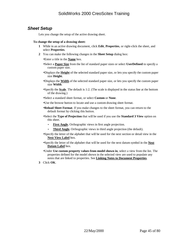## *Sheet Setup*

Lets you change the setup of the active drawing sheet.

### **To change the setup of a drawing sheet:**

- **1** While in an active drawing document, click **Edit**, **Properties**, or right-click the sheet, and select **Properties**.
- **2** You can make the following changes in the **Sheet Setup** dialog box:

•Enter a title in the **Name** box.

- •Select a **Paper Size** from the list of standard paper sizes or select **UserDefined** to specify a custom paper size.
- •Displays the **Height** of the selected standard paper size, or lets you specify the custom paper size **Height**.
- •Displays the **Width** of the selected standard paper size, or lets you specify the custom paper size **Width**.
- •Specify the **Scale**. The default is 1:2. (The scale is displayed in the status line at the bottom of the drawing.)
- •Select a standard sheet format, or select **Custom** or **None**.
- •Use the browse button to locate and use a custom drawing sheet format.
- •**Reload Sheet Format**. If you make changes to the sheet format, you can return to the default format by clicking this button.
- •Select the **Type of Projection** that will be used if you use the **Standard 3 View** option on this sheet.
	- **First Angle.** Orthographic views in first angle projection.
	- **Third Angle.** Orthographic views in third angle projection (the default).
- •Specify the letter of the alphabet that will be used for the next section or detail view in the **Next View Label** box.
- •Specify the letter of the alphabet that will be used for the next datum symbol in the **Next Datum Label** box.
- •Under **Use custom property values from model shown in**, select a view from the list. The properties defined for the model shown in the selected view are used to populate any notes that are linked to properties. See **Linking Notes to Document Properties**.
- **3** Click **OK**.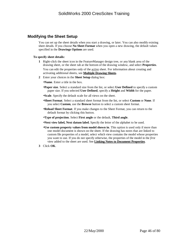## **Modifying the Sheet Setup**

You can set up the sheet details when you start a drawing, or later. You can also modify existing sheet details. If you choose **No Sheet Format** when you open a new drawing, the default values specified in the **Drawings Options** are used.

### **To specify sheet details:**

- **1** Right-click the sheet icon in the FeatureManager design tree, or any blank area of the drawing sheet, or the sheet tab at the bottom of the drawing window, and select **Properties**. You can edit the properties only of the *active* sheet. For information about creating and activating additional sheets, see **Multiple Drawing Sheets**.
- **2** Enter your choices in the **Sheet Setup** dialog box:

•**Name**. Enter a title in the box.

- •**Paper size**. Select a standard size from the list, or select **User Defined** to specify a custom paper size. If you selected **User Defined**, specify a **Height** and **Width** for the paper.
- •**Scale**. Specify the default scale for all views on the sheet.
- •**Sheet Format**. Select a standard sheet format from the list, or select **Custom** or **None**. If you select **Custom**, use the **Browse** button to select a custom sheet format.
- •**Reload Sheet Format**. If you make changes to the Sheet Format, you can return to the default format by clicking this button.
- •**Type of projection**. Select **First angle** or the default, **Third angle**.
- •**Next view label, Next datum label.** Specify the letter of the alphabet to be used.
- •**Use custom property values from model shown in**. This option is used only if more than one model document is shown on the sheet. If the drawing has notes that are linked to custom file properties of a model, select which view contains the model whose properties you want to use. If you do not specify otherwise, the properties of the model in the *first* view added to the sheet are used. See **Linking Notes to Document Properties**.
- **3** Click **OK**.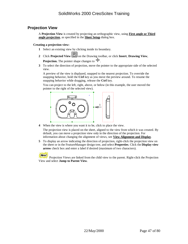## **Projection View**

A **Projection View** is created by projecting an orthographic view, using **First angle or Third angle projection**, as specified in the **Sheet Setup** dialog box.

### **Creating a projection view:**

- **1** Select an existing view by clicking inside its boundary.
- **2** Click **Projected View**  $\boxed{\text{H}}$  on the Drawing toolbar, or click **Insert**, **Drawing View**, **Projection.** The pointer shape changes to  $\vec{v}$ .
- **3** To select the direction of projection, move the pointer to the appropriate side of the selected view.

A preview of the view is displayed, snapped to the nearest projection. To override the snapping behavior, hold the **Ctrl** key as you move the preview around. To resume the snapping behavior while dragging, release the **Ctrl** key.

You can project to the left, right, above, or below (in this example, the user moved the pointer to the right of the selected view).



**4** When the view is where you want it to be, click to place the view.

The projection view is placed on the sheet, aligned to the view from which it was created. By default, you can move a projection view only in the direction of the projection. For information about changing the alignment of views, see **View Alignment and Display**.

**5** To display an arrow indicating the direction of projection, right-click the projection view on the sheet or in the FeatureManager design tree, and select **Properties**. Click the **Display view arrow** check box and enter a label if desired (maximum of two characters).

New: Projection Views are linked from the child view to the parent. Right-click the Projection View and select **Jump to Parent View**.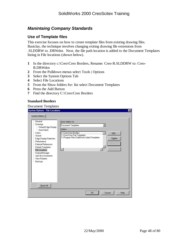## *Manintaing Company Standards*

## **Use of Template files**

This exercise focuses on how to create template files from existing drawing files. Basiclay, the technique involves changing exiting drawing file extensions from .SLDDRW to .DRWdot. Next, the file path location is added to the Document Templates listing in File locations (shown below).

- **1** In the directory c:\Creo\Creo Borders, Rename: Creo-B.SLDDRW to: Creo-B.DRWdot
- **2** From the Pulldown menus select Tools | Options
- **3** Select the System Options Tab
- **4** Select File Locations
- **5** From the Show folders for: list select Document Templates
- **6** Press the Add Button
- **7** Find the directory C:\Creo\Creo Borders

#### **Standard Borders**  $D \left( \frac{1}{2} \right)$

| -- Drawings<br>- Default Edge Display<br>Area Hatch<br>- Colors<br>- Sketch<br>- Edge Display/Selection<br>Performance<br>External References<br>- Default Templates<br>- File Locations<br>- FeatureManager<br>- Spin Box Increments<br>-- View Rotation<br>Backups | Document Templates<br>Folders:<br>C:\Creo\Creo Borders<br>Add<br>C:\Creo\Creo Part Templates<br>C:\Program Files\SolidWorks\data\Templates<br>Delete<br>Move Up<br>Maye Down<br>$\left  \cdot \right $ |
|----------------------------------------------------------------------------------------------------------------------------------------------------------------------------------------------------------------------------------------------------------------------|--------------------------------------------------------------------------------------------------------------------------------------------------------------------------------------------------------|
|                                                                                                                                                                                                                                                                      |                                                                                                                                                                                                        |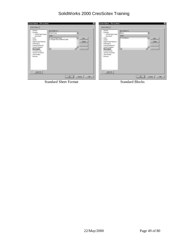| <b>System Options - File Locations</b>                                                                                                                                                                                                                                                     | $\mathbf{z}$                                                                                                                                                                                                      | <b>System Options - File Locations</b>                                                                                                                                                                                                                                                     | $\overline{\mathbf{x}}$                                                                                                                                                          |
|--------------------------------------------------------------------------------------------------------------------------------------------------------------------------------------------------------------------------------------------------------------------------------------------|-------------------------------------------------------------------------------------------------------------------------------------------------------------------------------------------------------------------|--------------------------------------------------------------------------------------------------------------------------------------------------------------------------------------------------------------------------------------------------------------------------------------------|----------------------------------------------------------------------------------------------------------------------------------------------------------------------------------|
| Swoters Options                                                                                                                                                                                                                                                                            |                                                                                                                                                                                                                   | Swoters Options                                                                                                                                                                                                                                                                            |                                                                                                                                                                                  |
| General<br><b>Drawings</b><br><b>Detault Edge Dirplay</b><br>Area Hatch<br>Color<br>Sketch<br>Edge Display/Selection<br>Performance.<br>External References<br>Default Tenglates<br>File Locations<br>FastureManager<br>Spin Box Increments<br>View Rotation<br>Backups<br><b>Read All</b> | Show lolders for:<br>Sheet Formet<br>Folders:<br>C. \Clear\Sheet Farmet<br>Add<br>E VPhognam Files/S olidWorks/Jolata<br>Diglete<br><b>This Lu</b><br><b><i><u>Annestme</u></i></b><br>ш<br>OK.<br>Help<br>Cancel | General<br><b>Drawings</b><br><b>Detault Edge Dirplay</b><br>Area Hatch<br>Color<br>Sketch<br>Edge Display/Selection<br>Performance.<br>External References<br>Default Tenglates<br>File Locations<br>FaaluseNanages<br>SpinBox Increments<br>View Retalion<br>Backups<br><b>React All</b> | Show lolders for:<br>Blocky<br>$\overline{\phantom{a}}$<br>Foldess:<br>C.VCeo/Block+<br>Add<br>阁<br>Diglete<br><b>Thristan</b><br><b>Bronsdone</b><br>ш<br>Help<br>DK.<br>Cancel |
|                                                                                                                                                                                                                                                                                            | <b>Standard Sheet Format</b>                                                                                                                                                                                      |                                                                                                                                                                                                                                                                                            | <b>Standard Blocks</b>                                                                                                                                                           |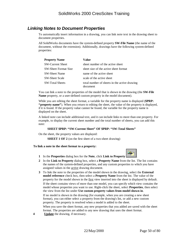## *Linking Notes to Document Properties*

To automatically insert information in a drawing, you can link note text in the drawing sheet to document properties.

All SolidWorks documents have the system-defined property **SW-File Name** (the name of the document, without the extension). Additionally, drawings have the following system-defined properties:

| <b>Property Name</b>        | Value                                                    |
|-----------------------------|----------------------------------------------------------|
| <b>SW-Current Sheet</b>     | sheet number of the active sheet                         |
| <b>SW-Sheet Format Size</b> | sheet size of the active sheet format                    |
| SW-Sheet Name               | name of the active sheet                                 |
| <b>SW-Sheet Scale</b>       | scale of the active sheet                                |
| <b>SW-Total Sheets</b>      | total number of sheets in the active drawing<br>document |

You can link a note to the properties of the model that is shown in the drawing (the **SW-File Name** property, or a user-defined custom property in the model document).

While you are editing the sheet format, a variable for the property name is displayed (**\$PRP: "property name"**). When you return to editing the sheet, the value of the property is displayed, if it is found. If the property value cannot be found, the variable for the property name is displayed on the sheet.

A linked note can include additional text, and it can include links to more than one property. For example, to display the current sheet number and the total number of sheets, you can add this note:

### **SHEET \$PRP: "SW-Current Sheet" OF \$PRP: "SW-Total Sheets"**

On the sheet, the property values are displayed:

**SHEET 1 OF 2** (on the first sheet of a two-sheet drawing)

### **To link a note in the sheet format to a property:**

- **1** In the **Properties** dialog box for the **Note**, click **Link to Property** .
- **2** In the **Link to Property** dialog box, select a **Property Name** from the list. The list contains the names of the system-defined properties, and any custom properties to which you have assigned values in the active drawing document.
- **3** To link the note to the properties of the model shown in the drawing, select the **External model reference** check box, then select a **Property Name** from the list. The value of the property for the model shown in the first view inserted into the sheet is displayed by default.

If the sheet contains views of more than one model, you can specify which view contains the model whose properties you want to use. Right-click the sheet, select **Properties**, then select the view from the list under **Use custom property values from model shown in**.

If no model is shown in the drawing (for example, when you are creating a new sheet format), you can either select a property from the drawing's list, or add a new custom property. The property is resolved when a model is added to the sheet.

When you save the sheet format, any new properties that you added are saved with the sheet format. The properties are added to any new drawing that uses the sheet format.

**4 Update** the drawing, if necessary.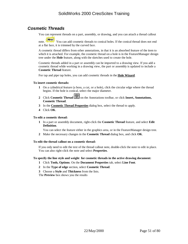## *Cosmetic Threads*

You can represent threads on a part, assembly, or drawing, and you can attach a thread callout

**New!** You can add cosmetic threads to conical holes. If the conical thread does not end at a flat face, it is trimmed by the curved face.

A cosmetic thread differs from other annotations, in that it is an absorbed feature of the item to which it is attached. For example, the cosmetic thread on a hole is in the FeatureManager design tree under the **Hole** feature, along with the sketches used to create the hole.

Cosmetic threads added in a part or assembly can be imported to a drawing view. If you add a cosmetic thread while working in a drawing view, the part or assembly is updated to include a **Cosmetic Thread** feature.

For tap and pipe tap holes, you can add cosmetic threads in the **Hole Wizard**.

### **To insert cosmetic threads:**

- **1** On a cylindrical feature (a boss, a cut, or a hole), click the circular edge where the thread begins. If the hole is conical, select the major diameter.
- **2** Click **Cosmetic Thread** on the Annotations toolbar, or click **Insert, Annotations, Cosmetic Thread**.
- **3** In the **Cosmetic Thread Properties** dialog box, select the thread to apply.
- **4** Click **OK**.

### **To edit a cosmetic thread:**

**1** In a part or assembly document, right-click the **Cosmetic Thread** feature, and select **Edit Definition**.

You can select the feature either in the graphics area, or in the FeatureManager design tree.

**2** Make the necessary changes in the **Cosmetic Thread** dialog box, and click **OK**.

### **To edit the thread callout on a cosmetic thread:**

If you only need to edit the text of the thread callout note, double-click the note to edit in place. You can also right-click the note and select **Properties**.

### **To specify the line style and weight for cosmetic threads in the active drawing document:**

- **1** Click **Tools, Options**. On the **Document Properties** tab, select **Line Font**.
- **2** In the **Type of edge** section, select **Cosmetic Thread**.
- **3** Choose a **Style** and **Thickness** from the lists.

The **Preview** box shows you the results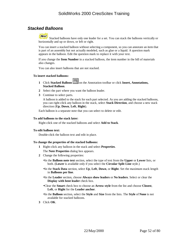## *Stacked Balloons*



 Stacked balloons have only one leader for a set. You can stack the balloons vertically or horizontally and up or down, or left or right.

You can insert a stacked balloon without selecting a component, so you can annotate an item that is part of an assembly but not actually modeled, such as glue or a liquid. A question mark appears in the balloon. Edit the question mark to replace it with your text.

If you change the **Item Number** in a stacked balloon, the item number in the bill of materials also changes.

You can also insert balloons that are not stacked.

### **To insert stacked balloons:**

- **1** Click **Stacked Balloon** on the Annotation toolbar or click **Insert, Annotations, Stacked Balloon**.
- **2** Select the part where you want the balloon leader.
- **3** Continue to select parts.

A balloon is added to the stack for each part selected. As you are adding the stacked balloons, you can right-click any balloon in the stack, select **Stack Direction**, and choose a new stack direction (**Up**, **Down**, **Left**, **Right**).

Each balloon is a separate note that you can select to delete or edit.

### **To add balloons to the stack later:**

Right-click one of the stacked balloons and select **Add to Stack**.

### **To edit balloon text:**

Double-click the balloon text and edit in place.

### **To change the properties of the stacked balloons:**

- **1** Right-click any balloon in the stack and select **Properties**. The **Note Properties** dialog box appears.
- **2** Change the following properties:
	- •In the **Balloon note text** section, select the type of text from the **Upper** or **Lower** lists, or both. (**Lower** is available only if you select the **Circular Split Line** style.)
	- •In the **Stack Data** section, select **Up**, **Left**, **Down**, or **Right**. Set the maximum stack length in **Balloons per line**.
	- •In the **Leader** section, choose **Always show leaders** or **No leaders**. Select or clear the **Display with bent leader** check box.
	- •Clear the **Smart** check box to choose an **Arrow style** from the list and choose **Closest**, **Left**, or **Right** for the **Leader anchor**.
	- •In the **Balloon** section, select the **Style** and **Size** from the lists. The **Style** of **None** is not available for stacked balloons.
- **3** Click **OK**.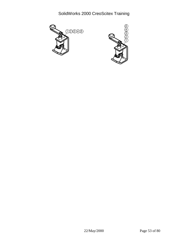

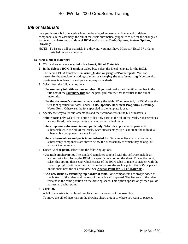## *Bill of Materials*

Lets you insert a bill of materials into the drawing of an assembly. If you add or delete components in the assembly, the bill of materials automatically updates to reflect the changes if you select the **Automatic update of BOM** option under **Tools, Options, System Options, Drawings**.

**NOTE:** To insert a bill of materials in a drawing, you must have Microsoft Excel 97 or later installed on your computer.

### **To insert a bill of materials:**

- **1** With a drawing view selected, click **Insert, Bill of Materials**.
- **2** In the **Select a BOM Template** dialog box, select the Excel template for the BOM.

The default BOM template is in *install\_folder***\lang\english\Bomtemp.xls**. You can customize the template by adding columns or **changing the text formatting**. You can also create new templates to meet your company's standards.

- **3** Select from the following options:
	- •**Use summary info title as part number**. If you assigned a part identifier number in the title box of the **Summary Info** for the part, you can use that identifier in the bill of materials.
	- •**Use the document's note font when creating the table.** When selected, the BOM uses the text font specified for notes, under **Tools, Options, Document Properties, Detailing, Notes, Font**. Otherwise, the font specified in the template is used.
- **4** Specify the way to list sub-assemblies and their components in the bill of materials:
	- •**Show parts only**. Select this option to list only parts in the bill of materials. Subassemblies are not listed; their components are listed as individual items.
	- •**Show top level subassemblies and parts only**. Select this option to list parts and subassemblies in the bill of materials. Each subassembly type is an item; the individual subassembly components are not listed.
	- •**Show subassemblies and parts in an indented list**. Subassemblies are listed as items; subassembly components are shown below the subassembly to which they belong, but without item numbers.
- **5** Under **Anchor point**, select from the following options:
	- •**Use table anchor point**. The standard templates supplied with the software include an anchor point for placing the BOM in a specific location on the sheet. To use the point, select this option, then select which corner of the BOM table to make coincident with the point (top right, bottom left, etc.). If you do not use the anchor point, the BOM is placed on the sheet near the selected view. See **Anchor Point for Bill of Materials** .
	- •**Add new items by extending top border of table**. New components are always added at the bottom of the table, and the rest of the table shifts upward. The last row of the table remains in the same position on the drawing sheet. This option applies only when you do not use an anchor point.
- **6** Click **OK**.

A bill of materials is displayed that lists the components of the assembly.

To move the bill of materials on the drawing sheet, drag it to where you want to place it.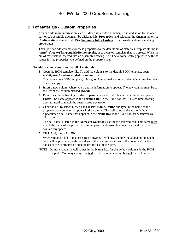## **Bill of Materials - Custom Properties**

You can add more information such as Material, Vendor\_Number, Cost, and so on to the open part or sub-assembly document by clicking **File**, **Properties**, and selecting the **Custom** tab or the **Configurations specific** tab. (See **Summary Info - Custom** for information about specifying properties.)

Then, you can add columns for these properties to the default bill of materials template (found in *\install\_directory***\lang\english\Bomtemp.xls)**, or to a custom template that you create. When the bill of materials is inserted into an assembly drawing, it will be automatically populated with the values for the properties you defined on the property sheet.

### **To add custom columns to the bill of materials:**

**1** Open the BOM template file. To add the columns to the default BOM template, open *install\_directory***\lang\english\Bomtemp.xls**.

To create a new BOM template, it is a good idea to make a copy of the default template, then open the copy.

- **2** Insert a new column where you want the information to appear. The new column must be to the left of the column marked **\$\$END**.
- **3** Enter the column heading for the property you want to display in that column, and press **Enter**. The name appears in the **Formula Bar** in the Excel toolbar. This column heading does not need to match the custom property name.
- **4** Click the cell to select it, then click **Insert, Name, Define** and type in the name of the property that you want to appear in this column. This cell name replaces the default alphanumeric cell name that appears in the **Name Box** in the Excel toolbar whenever you click a cell.

The cell name is listed in the **Names in workbook** list for the selected cell. This name must match the name of the property from the part or sub-assembly document, and must not contain any spaces.

**5** Click **Add**, then click **OK**.

When you add a bill of materials to a drawing, it will now include the added column. The cells will be populated with the values of the custom properties of the document, or the values of the configuration specific properties for the item.

**NOTE:** Do not change the cell names in the **Name Box** for the default columns in the BOM template. You may change the text in the column heading, but not the cell name.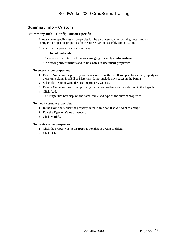## **Summary Info – Custom**

## **Summary Info – Configuration Specific**

Allows you to specify custom properties for the part, assembly, or drawing document, or configuration specific properties for the active part or assembly configuration.

You can use the properties in several ways:

#### •In a **bill of materials**

•As advanced selection criteria for **managing assembly configurations**

•In drawing **sheet formats** and to **link notes to document properties**

### **To enter custom properties:**

- **1** Enter a **Name** for the property, or choose one from the list. If you plan to use the property as a custom column in a Bill of Materials, do not include any spaces in the **Name**.
- **2** Select the **Type** of value the custom property will use.
- **3** Enter a **Value** for the custom property that is compatible with the selection in the **Type** box.
- **4** Click **Add**.

The **Properties** box displays the name, value and type of the custom properties.

### **To modify custom properties:**

- **1** In the **Name** box, click the property in the **Name** box that you want to change.
- **2** Edit the **Type** or **Value** as needed.
- **3** Click **Modify**.

### **To delete custom properties:**

- **1** Click the property in the **Properties** box that you want to delete.
- **2** Click **Delete**.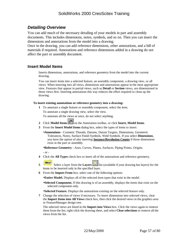## *Detailing Overview*

You can add much of the necessary detailing of your models in part and assembly documents. This includes dimensions, notes, symbols, and so on. Then you can insert the dimensions and annotations from the model into a drawing.

Once in the drawing, you can add reference dimensions, other annotations, and a bill of materials if required. Annotations and reference dimensions added in a drawing do not affect the part or assembly document.

## **Insert Model Items**

Inserts dimensions, annotations, and reference geometry from the model into the current drawing.

You can insert items into a selected feature, an assembly component, a drawing view, or all views. When inserting into all views, dimensions and annotations appear in the most appropriate view. Features that appear in partial views, such as **Detail** or **Section** views, are dimensioned in those views first. Inserting annotations this way reduces the effort required to clean up the drawing.

### **To insert existing annotations or reference geometry into a drawing:**

**1** To annotate a single feature or assembly component, select the item.

To annotate a single drawing view, select the view.

To annotate all the views at once, do not select anything.

- **2** Click **Model Items**  $\frac{1}{\sqrt{2}}$  on the Annotation toolbar, or click **Insert, Model Items**.
- **3** From the **Insert Model Items** dialog box, select the types of items to insert:
	- •**Annotations** Cosmetic Threads, Datums, Datum Targets, Dimensions, Geometric Tolerances, Notes, Surface Finish Symbols, Weld Symbols. If you select **Dimensions**, you have the option of also inserting **Instance/Revolution Counts** if those dimensions exist in the part or assembly.

•**Reference Geometry** - Axes, Curves, Planes, Surfaces, Piping Points, Origins.

- or -

- **4** Click the **All Types** check box to insert all of the annotations and reference geometry.
- **5 Break** Select a layer from the **Layers** list (available if your drawing has layers) for the items to be inserted only in the specified layer.
- **6** From the **Import From** box, select one of the following options:
	- •**Entire Model.** Displays all of the selected item types that exist in the model.
	- •**Selected Component.** If this drawing is of an assembly, displays the items that exist on the selected component only.

•**Selected Feature.** Displays the annotations existing on the selected feature only.

**7** Change the selection of views if necessary. To insert dimensions into selected views, clear the **Import Items into All Views** check box, then click the desired views in the graphics area or FeatureManager design tree.

The selected views are listed in the **Import into Views** box. Click the views again to remove them from the list; right-click the drawing sheet, and select **Clear selections** to remove all the views from the list.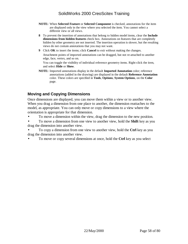- **NOTE:** When **Selected Feature** or **Selected Component** is checked, annotations for the item are displayed only in the view where you selected the item. You cannot select a different view or all views.
- **8** To prevent the insertion of annotations that belong to hidden model items, clear the **Include dimensions from hidden features** check box. Annotations on features that are completely hidden by other geometry are not inserted. The insertion operation is slower, but the resulting views do not contain annotations that you may not want.
- **9** Click **OK** to insert the items; click **Cancel** to exit without making the changes.

Attachment points of imported annotations can be dragged, but not re-attached to another edge, face, vertex, and so on.

You can toggle the visibility of individual reference geometry items. Right-click the item, and select **Hide** or **Show**.

**NOTE:** Imported annotations display in the default **Imported Annotation** color; reference annotations (added in the drawing) are displayed in the default **Reference Annotation** color. These colors are specified in **Tools**, **Options**, **System Options**, on the **Color** page.

## **Moving and Copying Dimensions**

Once dimensions are displayed, you can move them within a view or to another view. When you drag a dimension from one place to another, the dimension reattaches to the model, as appropriate. You can only move or copy dimensions to a view where the orientation is appropriate for that dimension.

- To move a dimension within the view, drag the dimension to the new position.
- To move a dimension from one view to another view, hold the **Shift** key as you drag the dimension into another view.
- To copy a dimension from one view to another view, hold the **Ctrl** key as you drag the dimension into another view.
- To move or copy several dimensions at once, hold the **Ctrl** key as you select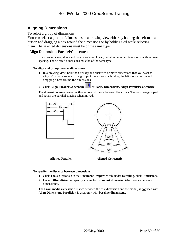## **Aligning Dimensions**

To select a group of dimensions:

You can select a group of dimensions in a drawing view either by holding the left mouse button and dragging a box around the dimensions or by holding Ctrl while selecting them. The selected dimensions must be of the same type.

## **Align Dimensions Parallel/Concentric**

In a drawing view, aligns and groups selected linear, radial, or angular dimensions, with uniform spacing. The selected dimensions must be of the same type.

### **To align and group parallel dimensions:**

- **1** In a drawing view, hold the **Ctrl** key and click two or more dimensions that you want to align. You can also select the group of dimensions by holding the left mouse button and dragging a box around the dimensions.
- **2** Click **Align Parallel/Concentric** or **Tools, Dimensions, Align Parallel/Concentric**.

The dimensions are arranged with a uniform distance between the arrows. They also are grouped, and retain the parallel spacing when moved.



**To specify the distance between dimensions:**

- **1** Click **Tools**, **Options**. On the **Document Properties** tab, under **Detailing**, click **Dimensions**.
- **2** Under **Offset distances**, specify a value for **From last dimension** (the distance between dimensions).

The **From model** value (the distance between the first dimension and the model) is not used with **Align Dimensions Parallel**; it is used only with **baseline dimensions**.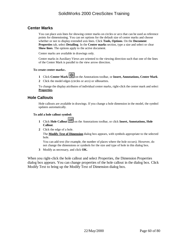## **Center Marks**

You can place axis lines for showing center marks on circles or arcs that can be used as reference points for dimensioning. You can set options for the default size of center marks and choose whether or not to display extended axis lines. Click **Tools, Options**. On the **Document Properties** tab, select **Detailing**. In the **Center marks** section, type a size and select or clear **Show lines**. The options apply to the active document.

Center marks are available in drawings only.

Center marks in Auxiliary Views are oriented to the viewing direction such that one of the lines of the Center Mark is parallel to the view arrow direction.

### **To create center marks:.**

- **1** Click **Center Mark**  $\bigoplus$  on the Annotations toolbar, or **Insert, Annotations, Center Mark**.
- **2** Click the model edges (circles or arcs) or silhouettes.

To change the display attributes of individual center marks, right-click the center mark and select **Properties**.

## **Hole Callouts**

Hole callouts are available in drawings. If you change a hole dimension in the model, the symbol updates automatically.

### **To add a hole callout symbol:**

- 1 Click **Hole Callout**  $\boxed{\square \emptyset}$  on the Annotations toolbar, or click **Insert, Annotations, Hole Callout**.
- **2** Click the edge of a hole.

The **Modify Text of Dimension** dialog box appears, with symbols appropriate to the selected hole.

You can add text (for example, the number of places where the hole occurs). However, do not change the dimensions or symbols for the size and type of hole in this dialog box.

**3** Modify as necessary, and click **OK.**

When you right-click the hole callout and select Properties, the Dimension Properties dialog box appears. You can change properties of the hole callout in the dialog box. Click Modify Text to bring up the Modify Text of Dimension dialog box.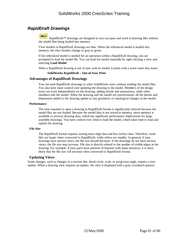## *RapidDraft Drawings*



 RapidDraft™ drawings are designed so you can open and work in drawing files without the model files being loaded into memory.

View borders in RapidDraft drawings are blue. When the referenced model is loaded into memory, the view borders change to gray or green.

If the referenced model is needed for an operation within a RapidDraft drawing, you are prompted to load the model file. You can load the model manually by right-clicking a view and selecting **Load Model**.

When a RapidDraft drawing is out of sync with its model, it prints with a water mark that states:

### **SolidWorks RapidDraft – Out-of-Sync Print**

### **Advantages of RapidDraft Drawings**

You can send RapidDraft drawings to other SolidWorks users without sending the model files. You also have more control over updating the drawing to the model. Members of the design team can work independently on the drawing, adding details and annotations, while other members edit the model. When the drawing and the model are synchronized, all the details and dimensions added to the drawing update to any geometric or topological changes in the model.

### **Performance**

The time required to open a drawing in RapidDraft format is significantly reduced because the model files are not loaded. Because the model data is not stored in memory, more memory is available to process drawing data, which has significant performance implications for large assembly drawings. You have control over when to load the model, which takes time to load and update the drawing.

### **File Size**

The RapidDraft format requires storing more edge data and less surface data. Therefore, some files are larger when converted to RapidDraft, while others are smaller. In general, if your drawings have section views, the file size should decrease. If the drawings do not have section views, the file size *may* increase. File size is directly related to the number of visible edges in the drawing. For example, if your parts have patterns of features with many instances, it is more likely that the file size will increase when converted to RapidDraft format.

## **Updating Views**

Some changes, such as changes to a section line, detail circle, scale, or projection angle, require a view update. When a drawing view requires an update, the view is displayed with a gray crosshatch pattern.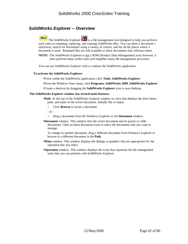## *SolidWorks Explorer -- Overview*



**NOTE:** The SolidWorks Explorer is not a PDM (Product Data Management) tool; however, it does perform many useful tasks and simplifies many file management processes.

You can use SolidWorks Explorer with or without the SolidWorks application.

### **To activate the SolidWorks Explorer:**

•From within the SolidWorks application, click **Tools**, **SolidWorks Explorer**.

•From the Windows Start menu, click **Programs**, **SolidWorks 2000**, **SolidWorks Explorer**.

•Create a shortcut by dragging the **SolidWorks Explorer** icon to your desktop.

#### **The SolidWorks Explorer window has several main features:**

•**Path**. At the top of the SolidWorks Explorer window is a box that displays the drive letter, path, and name of the active document. Initially this is empty.

- Click **Browse** to locate a document.
- or -
- Drag a document from the Windows Explorer to the **Document** window.
- •**Document** window. This window lists the active document and its parent or child documents. Click on these document icons to select the documents that you want to manage.

To change to another document, drag a different document from Windows Explorer or browse to a different document in the **Path**.

- •**Main** window. This window displays the dialogs or graphics that are appropriate for the operation that you select.
- •**Operation** window. This window displays the icons that represent the file management tasks that you can perform with SolidWorks Explorer.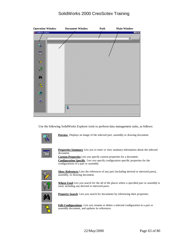| <b>Operation Window</b>  | <b>Document Window</b> | Path | <b>Main Window</b> |
|--------------------------|------------------------|------|--------------------|
| <b>SoldWork</b> Explorer |                        |      | 同回区<br>⊡           |
| 窨                        |                        |      |                    |
|                          |                        |      |                    |
| V                        |                        |      |                    |
| 92                       |                        |      |                    |
| 鹈                        |                        |      |                    |
| 喝                        |                        |      |                    |
| e                        |                        |      |                    |
| 思                        |                        |      |                    |
|                          | X                      |      |                    |
|                          |                        |      |                    |

Use the following SolidWorks Explorer tools to perform data management tasks, as follows:



**Preview** Displays an image of the selected part, assembly or drawing document.

**Properties Summary** Lets you to enter or view summary information about the selected document.

**Custom Properties** Lets you specify custom properties for a document. **Configuration Specific** Lets you specify configuration specific properties for the configurations of a part or assembly.



**Show References** Lists the references of any part (including derived or mirrored parts), assembly, or drawing document.



**Where Used** Lets you search for the all of the places where a specified part or assembly is used, including any derived or mirrored parts.



**Property Search** Lets you search for documents by referencing their properties.



**Edit Configurations** Lets you rename or delete a selected configuration in a part or assembly document, and updates its references.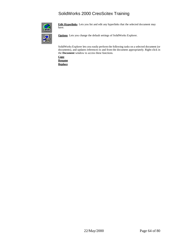

**Edit Hyperlinks** Lets you list and edit any hyperlinks that the selected document may have.

**Options** Lets you change the default settings of SolidWorks Explorer.

SolidWorks Explorer lets you easily perform the following tasks on a selected document (or documents), and updates references to and from the document appropriately. Right-click in the **Document** window to access these functions.

**Copy Rename Replace**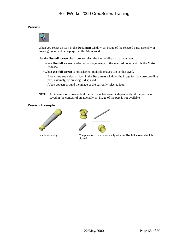## **Preview**



When you select an icon in the **Document** window, an image of the selected part, assembly or drawing document is displayed in the **Main** window.

Use the **Use full screen** check box to select the kind of display that you want.

- •When **Use full screen** is selected, a single image of the selected document fills the **Main** window.
- •When **Use full screen** is not selected, multiple images can be displayed.

Every time you select an icon in the **Document** window, the image for the corresponding part, assembly, or drawing is displayed.

A box appears around the image of the currently selected icon.

**NOTE:** An image is only available if the part was last saved independently; if the part was saved in the context of an assembly, an image of the part is not available.

## **Preview Example**





handle assembly Components of handle assembly with the **Use full screen** check box cleared.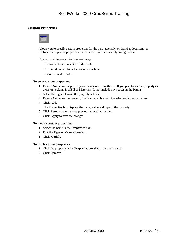## **Custom Properties**



Allows you to specify custom properties for the part, assembly, or drawing document, or configuration specific properties for the active part or assembly configuration.

You can use the properties in several ways:

•Custom columns in a Bill of Materials

- •Advanced criteria for selection or show/hide
- •Linked to text in notes

### **To enter custom properties:**

- **1** Enter a **Name** for the property, or choose one from the list. If you plan to use the property as a custom column in a Bill of Materials, do not include any spaces in the **Name**.
- **2** Select the **Type** of value the property will use.
- **3** Enter a **Value** for the property that is compatible with the selection in the **Type** box.
- **4** Click **Add**.

The **Properties** box displays the name, value and type of the property.

- **5** Click **Reset** to return to the previously saved properties.
- **6** Click **Apply** to save the changes.

### **To modify custom properties:**

- **1** Select the name in the **Properties** box.
- **2** Edit the **Type** or **Value** as needed.
- **3** Click **Modify**.

### **To delete custom properties:**

- **1** Click the property in the **Properties** box that you want to delete.
- **2** Click **Remove**.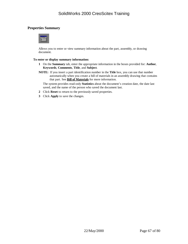## **Properties Summary**



Allows you to enter or view summary information about the part, assembly, or drawing document.

#### **To enter or display summary information:**

- **1** On the **Summary** tab, enter the appropriate information in the boxes provided for: **Author**, **Keywords**, **Comments**, **Title**, and **Subject**.
- **NOTE:** If you insert a part identification number in the **Title** box, you can use that number automatically when you create a bill of materials in an assembly drawing that contains that part. See **Bill of Materials** for more information.

The system provides read-only **Statistics** about the document's creation date, the date last saved, and the name of the person who saved the document last.

- **2** Click **Reset** to return to the previously saved properties.
- **3** Click **Apply** to save the changes.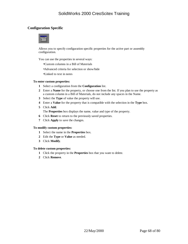## **Configuration Specific**



Allows you to specify configuration specific properties for the active part or assembly configuration.

You can use the properties in several ways:

- •Custom columns in a Bill of Materials
- •Advanced criteria for selection or show/hide
- •Linked to text in notes

### **To enter custom properties:**

- **1** Select a configuration from the **Configuration** list.
- **2** Enter a **Name** for the property, or choose one from the list. If you plan to use the property as a custom column in a Bill of Materials, do not include any spaces in the Name.
- **3** Select the **Type** of value the property will use.
- **4** Enter a **Value** for the property that is compatible with the selection in the **Type** box.
- **5** Click **Add**.
	- The **Properties** box displays the name, value and type of the property.
- **6** Click **Reset** to return to the previously saved properties.
- **7** Click **Apply** to save the changes.

### **To modify custom properties:**

- **1** Select the name in the **Properties** box.
- **2** Edit the **Type** or **Value** as needed.
- **3** Click **Modify**.

#### **To delete custom properties:**

- **1** Click the property in the **Properties** box that you want to delete.
- **2** Click **Remove**.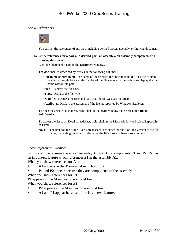## **Show References**



You can list the references of any part (including derived parts), assembly, or drawing document.

### **To list the references for a part or a derived part, an assembly, an assembly component, or a drawing document:**

Click the document's icon in the **Document** window.

The document is described by entries in the following columns:

•**File name** or **New name**. The name of the selected file appears in bold. Click the column heading to toggle between the display of the file name with the path or to display the file name without its path.

•**Size**. Displays the file size.

•**Type**. Displays the file type.

•**Modified**. Displays the time and date that the file was last modified.

•**Attributes**. Displays the attributes of the file, as reported by Windows Explorer.

To open the selected document, right-click in the **Main** window and select **Open file in SolidWorks**.

To export the list to an Excel spreadsheet, right-click in the **Main** window and select **Export list to Excel**.

**NOTE:** The first column of the Excel spreadsheet uses either the short or long version of the file name, depending on what is selected in the **File name** or **New name** column.

### *Show References Example*

In this example, assume there is an assembly **A1** with two components **P1** and **P2**. **P2** has an in-context feature which references **P1** in the assembly **A1**.

When you show references for **A1**:

- **A1** appears in the **Main** window in bold font.
- **P1** and **P2** appear because they are components of the assembly.

When you show references for **P1**:

**P1** appears in the **Main** window in bold font.

When you show references for **P2**:

- **P2** appears in the **Main** window in bold font
- A1 and P1 appear because of the in-context feature.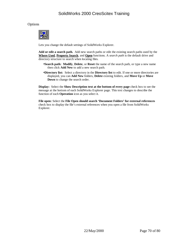## Options



Lets you change the default settings of SolidWorks Explorer.

**Add or edit a search path.** Add new search paths or edit the existing search paths used by the **Where Used**, **Property Search**, and **Open** functions. A *search path* is the default drive and directory structure to search when locating files.

- •**Search path: Modify**, **Delete**, or **Reset** the name of the search path, or type a new name then click **Add New** to add a new search path.
- •**Directory list:** Select a directory in the **Directory list** to edit. If one or more directories are displayed, you can **Add New** folders, **Delete** existing folders, and **Move Up** or **Move Down** to change the search order.

**Display:** Select the **Show Description text at the bottom of every page** check box to see the message at the bottom of each SolidWorks Explorer page. This text changes to describe the function of each **Operation** icon as you select it.

**File open:** Select the **File Open should search 'Document Folders' for external references**  check box to display the file's external references when you open a file from SolidWorks Explorer.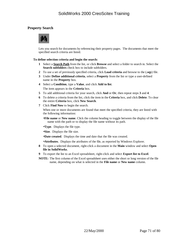## **Property Search**



Lets you search for documents by referencing their property pages. The documents that meet the specified search criteria are listed.

### **To define selection criteria and begin the search:**

- **1** Select a **Search Path** from the list, or click **Browse** and select a folder to search in. Select the **Search subfolders** check box to include subfolders.
- **2** To use a set of previously specified criteria, click **Load criteria** and browse to the (**.sqy**) file.
- **3** Under **Define additional criteria**, select a **Property** from the list or type a user-defined name in the **Property** box.
- **4** Select a **Condition**, type a **Value**, and click **Add to list**. The item appears in the **Criteria** box.
- **5** To add additional criteria for your search, click **And** or **Or**, then repeat steps **3** and **4**.
- **6** To delete a criteria from the list, click the item in the **Criteria** box, and click **Delete**. To clear the entire **Criteria** box, click **New Search**.
- **7** Click **Find Now** to begin the search.

When one or more documents are found that meet the specified criteria, they are listed with the following information:

- •**File name** or **New name**. Click the column heading to toggle between the display of the file name with the path or to display the file name without its path.
- •**Type**. Displays the file type.
- •**Size**. Displays the file size.
- •**Date created**. Displays the time and date that the file was created.
- •**Attributes**. Displays the attributes of the file, as reported by Windows Explorer.
- **8** To open a selected document, right-click a document in the **Main** window and select **Open file in SolidWorks**.
- **9** To export the list to an Excel spreadsheet, right-click and select **Export list to Excel**.
- **NOTE:** The first column of the Excel spreadsheet uses either the short or long version of the file name, depending on what is selected in the **File name** or **New name** column.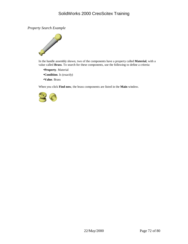*Property Search Example*



value called **Brass**. To search for these components, use the following to define a criteria:

- •**Property**. Material
- •**Condition**. Is (exactly)
- •**Value**. Brass

When you click **Find now**, the brass components are listed in the **Main** window.

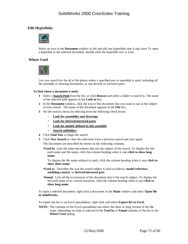## **Edit Hyperlinks**



Select an icon in the **Document** window to list and edit any hyperlinks that it may have.To open a hyperlink in the selected document, double-click the hyperlink text or icon.

### **Where Used**



Lets you search for the all of the places where a specified part or assembly is used, including all the assembly or drawing documents, or any derived or mirrored parts.

#### **To find where a document is used:**

- **1** Select a **Search Path** from the list, or click **Browse** and select a folder to search in. The name of the selected path appears in the **Look in** box.
- **2** In the **Document** window, click the icon of the document that you want to use as the subject of your search. The name of the document appears in the **File** box.
- **3** Set the search criteria by selecting from the following check boxes:
	- **Look for assemblies and drawings**
	- **Look for derived/mirrored parts**
	- **Look for models defined in this assembly**
	- **Search subfolders**
- **4** Click **Find Now** to begin the search.
- **5** Click **New Search** to clear the selections from a previous search and start again.

The documents are described by entries in the following columns:

•**Used by**. Lists the other documents that use the subject of the search. To display the full path name and file name, click the column heading when it says **click to show long name**.

To display the file name without its path, click the column heading when it says **click to show short name**.

- •**Used as**. Describes the way the search subject is used as follows: **model reference**, **modeling context**, or **derived/mirrored part**.
- •**Found**. Lists all the occurrences of the document that is the search subject. To display the full path name of its various locations, click the column heading when it says **click to show long name**.

To open a selected document, right-click a document in the **Main** window and select **Open file in SolidWorks**.

To export the list to an Excel spreadsheet, right-click and select **Export list to Excel**.

**NOTE:** The columns of the Excel spreadsheet use either the short or long version of the file name, depending on what is selected in the **Used by** or **Found** columns of the list in the **Where Used** dialog.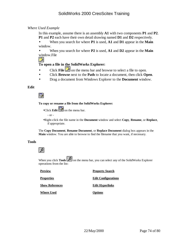## *Where Used Example*

In this example, assume there is an assembly **A1** with two components **P1** and **P2**. **P1** and **P2** each have their own detail drawing named **D1** and **D2** respectively.

• When you search for where **P1** is used, **A1** and **D1** appear in the **Main** window.

• When you search for where **P2** is used, **A1** and **D2** appear in the **Main** window.File

 $|\mathbb{U}|$ 

## **To open a file in the SolidWorks Explorer:**

- Click **File** on the menu bar and browse to select a file to open.
- Click **Browse** next to the **Path** to locate a document, then click **Open**.
- Drag a document from Windows Explorer to the **Document** window.

## **Edit**

## $\mathbb{F}_7$

**To copy or rename a file from the SolidWorks Explorer:**

•Click **Edit** on the menu bar.

- or -

•Right-click the file name in the **Document** window and select **Copy**, **Rename**, or **Replace**, if appropriate.

The **Copy Document**, **Rename Document**, or **Replace Document** dialog box appears in the **Main** window. You are able to browse to find the filename that you want, if necessary.

## **Tools**

# ு

When you click **Tools** on the menu bar, you can select any of the SolidWorks Explorer operations from the list:

| <b>Preview</b>         | <b>Property Search</b>     |  |  |
|------------------------|----------------------------|--|--|
| <b>Properties</b>      | <b>Edit Configurations</b> |  |  |
| <b>Show References</b> | <b>Edit Hyperlinks</b>     |  |  |
| <b>Where Used</b>      | <b>Options</b>             |  |  |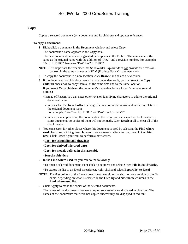### **Copy**

Copies a selected document (or a document and its children) and updates references.

#### **To copy a document:**

**1** Right-click a document in the **Document** window and select **Copy**.

The document's name appears in the **Copy** box.

The new document name and suggested path appear in the **To** box. The new name is the same as the original name with the addition of "Rev" and a revision number. For example: "Part1.SLDPRT" becomes "Part1Rev2.SLDPRT"

- **NOTE:** It is important to remember that SolidWorks Explorer does not provide true revision control, in the same manner as a PDM (Product Data Management) tool.
- **2** To copy the document to a new location, click **Browse** and select a new folder.
- **3** If the document has child documents that are dependent on it, you can select the **Copy children** check box to copy them all at the same time and to the same location.

If you select **Copy children**, the document's dependencies are listed. You have several options:

- •Instead of Rev(*n*), you can enter other revision identifying characters to add to the original document name.
- •You can select **Prefix** or **Suffix** to change the location of the revision identifier in relation to the original document name. For example: "Rev2Part1.SLDPRT" or "Part1Rev2.SLDPRT"
- •You can make copies of all the documents in the list or you can clear the check marks of some documents so copies of them will not be made. Click **Deselect all** to clear all of the check marks.
- **4** You can search for other places where this document is used by selecting the **Find where used** check box, clicking **Search rules** to select search criteria to use, then clicking **Find now**. Click **Reset** if you want to perform a new search.

#### •**Look for assemblies and drawings**

•**Look for derived/mirrored parts**

#### •**Look for models defined in this assembly**

#### •**Search subfolders**

**5** In the **Find where used** list you can do the following:

•To open a selected document, right-click a document and select **Open File in SolidWorks**.

- •To export the list to an Excel spreadsheet, right-click and select **Export list to Excel**.
- **NOTE:** The first column of the Excel spreadsheet uses either the short or long version of the file name, depending on what is selected in the **Used by** and **New name** columns in the **Find where used** list.
- **6** Click **Apply** to make the copies of the selected documents.

The names of the documents that were copied successfully are displayed in blue font. The names of the documents that were not copied successfully are displayed in red font.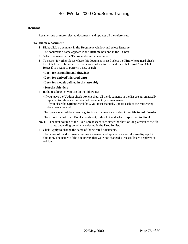## SolidWorks 2000 CreoScitex Training

#### **Rename**

Renames one or more selected documents and updates all the references.

#### **To rename a document:**

- **1** Right-click a document in the **Document** window and select **Rename**. The document's name appears in the **Rename** box and in the **To** box.
- **2** Select the name in the **To** box and enter a new name.
- **3** To search for other places where this document is used select the **Find where used** check box. Click **Search rules** to select search criteria to use, and then click **Find Now**. Click **Reset** if you want to perform a new search.

#### •**Look for assemblies and drawings**

#### •**Look for derived/mirrored parts**

#### •**Look for models defined in this assembly**

#### •**Search subfolders**

documents yourself.

- **4** In the resulting list you can do the following:
	- •If you leave the **Update** check box checked, all the documents in the list are automatically updated to reference the renamed document by its new name. If you clear the **Update** check box, you must manually update each of the referencing
	- •To open a selected document, right-click a document and select **Open file in SolidWorks**.

•To export the list to an Excel spreadsheet, right-click and select **Export list to Excel**.

- **NOTE:** The first column of the Excel spreadsheet uses either the short or long version of the file name, depending on what is selected in the **Used by** list.
- **5** Click **Apply** to change the name of the selected documents.

The names of the documents that were changed and updated successfully are displayed in blue font. The names of the documents that were not changed successfully are displayed in red font.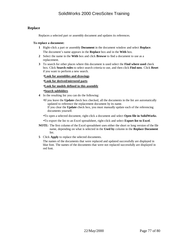## SolidWorks 2000 CreoScitex Training

### **Replace**

Replaces a selected part or assembly document and updates its references.

#### **To replace a document:**

- **1** Right-click a part or assembly **Document** in the document window and select **Replace**. The document's name appears in the **Replace** box and in the **With** box.
- **2** Select the name in the **With** box and click **Browse** to find a document to use as a replacement.
- **3** To search for other places where this document is used select the **Find where used** check box. Click **Search rules** to select search criteria to use, and then click **Find now**. Click **Reset** if you want to perform a new search.

#### •**Look for assemblies and drawings**

#### •**Look for derived/mirrored parts**

#### •**Look for models defined in this assembly**

#### •**Search subfolders**

- **4** In the resulting list you can do the following:
	- •If you leave the **Update** check box checked, all the documents in the list are automatically updated to reference the replacement document by its name. If you clear the **Update** check box, you must manually update each of the referencing documents yourself.
	- •To open a selected document, right-click a document and select **Open file in SolidWorks**.
	- •To export the list to an Excel spreadsheet, right-click and select **Export list to Excel**.
- **NOTE:** The first column of the Excel spreadsheet uses either the short or long version of the file name, depending on what is selected in the **Used by** column in the **Replace Document** list.
- **5** Click **Apply** to replace the selected documents.

The names of the documents that were replaced and updated successfully are displayed in blue font. The names of the documents that were not replaced successfully are displayed in red font.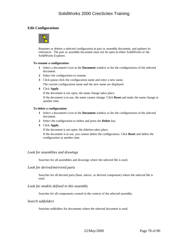## **Edit Configurations**



Renames or deletes a selected configuration in part or assembly document, and updates its references. The part or assembly document must not be open in either SolidWorks or the SolidWorks Explorer.

#### **To rename a configuration:**

- **1** Select a document's icon in the **Document** window to list the configurations of the selected document.
- **2** Select the configuration to rename.
- **3** Click-pause-click the configuration name and enter a new name.

The current configuration name and the new name are displayed.

**4** Click **Apply**.

If the document is not open, the name change takes place.

If the document is in use, the name cannot change. Click **Reset** and make the name change at another time.

#### **To delete a configuration:**

- **1** Select a document's icon in the **Document** window to list the configurations of the selected document.
- **2** Select the configuration to delete and press the **Delete** key.
- **3** Click **Apply**.

If the document is not open, the deletion takes place.

If the document is in use, you cannot delete the configuration. Click **Reset** and delete the configuration at another time.

#### *Look for assemblies and drawings*

Searches for all assemblies and drawings where the selected file is used.

#### *Look for derived/mirrored parts*

Searches for all dervied parts (base, mirror, or derived component) where the selected file is used.

### *Look for models defined in this assembly*

Searches for all components created in the context of the selected assembly.

#### *Search subfolders*

Searches subfolders for documents where the selected document is used.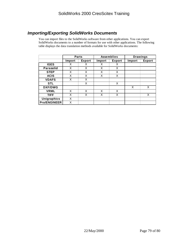# *Importing/Exporting SolidWorks Documents*

You can import files to the SolidWorks software from other applications. You can export SolidWorks documents to a number of formats for use with other applications. The following table displays the data translation methods available for SolidWorks documents:

|                     | <b>Parts</b> |               | <b>Assemblies</b> |               | <b>Drawings</b> |               |
|---------------------|--------------|---------------|-------------------|---------------|-----------------|---------------|
|                     | Import       | <b>Export</b> | Import            | <b>Export</b> | Import          | <b>Export</b> |
| <b>IGES</b>         | x            | х             | X                 | х             |                 |               |
| Parasolid           | Χ            | X             | X                 | X             |                 |               |
| <b>STEP</b>         | х            | X             | X                 | X             |                 |               |
| <b>ACIS</b>         | Χ            | X             | X                 | X             |                 |               |
| <b>VDAFS</b>        | Χ            | X             |                   |               |                 |               |
| <b>STL</b>          |              | X             |                   | X             |                 |               |
| <b>DXF/DWG</b>      |              |               |                   |               | X               | X             |
| <b>VRML</b>         | X            | X             | X                 | X             |                 |               |
| <b>TIFF</b>         | Χ            | X             | X                 | X             |                 | X             |
| Unigraphics         | Χ            |               |                   |               |                 |               |
| <b>Pro/ENGINEER</b> | х            |               |                   |               |                 |               |